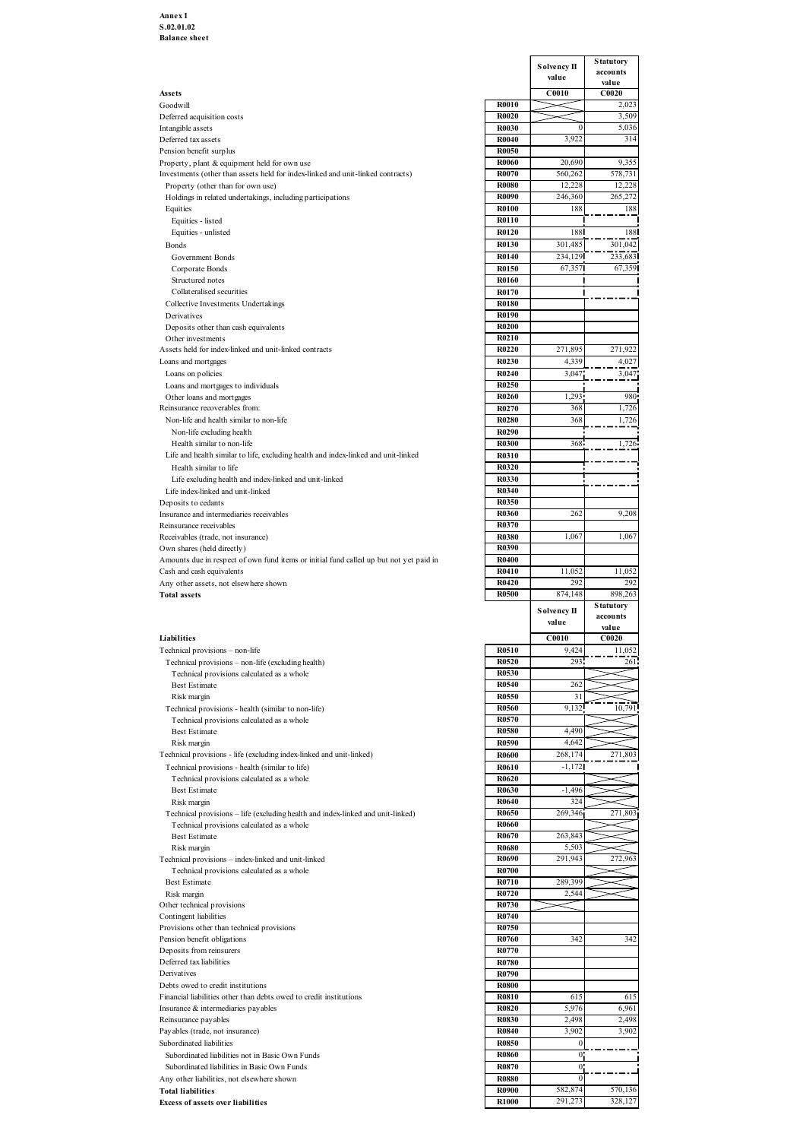| Annex I<br>S.02.01.02<br><b>Balance sheet</b>                                                                                   |                              |                            |                              |
|---------------------------------------------------------------------------------------------------------------------------------|------------------------------|----------------------------|------------------------------|
|                                                                                                                                 |                              | Solvency II                | <b>Statutory</b><br>accounts |
| Assets                                                                                                                          |                              | value<br>C0010             | value<br><b>C0020</b>        |
| Goodwill<br>Deferred acquisition costs                                                                                          | <b>R0010</b><br><b>R0020</b> |                            | 2,023<br>3,509               |
| Intangible assets<br>Deferred tax assets                                                                                        | R0030<br>R0040               | 3,922                      | 5,036<br>314                 |
| Pension benefit surplus                                                                                                         | <b>R0050</b>                 |                            |                              |
| Property, plant & equipment held for own use<br>Investments (other than assets held for index-linked and unit-linked contracts) | <b>R0060</b><br>R0070        | 20,690<br>560,262          | 9,355<br>578,731             |
| Property (other than for own use)<br>Holdings in related undertakings, including participations                                 | <b>R0080</b><br>R0090        | 12,228<br>246,360          | 12,228<br>265,272            |
| Equities                                                                                                                        | <b>R0100</b><br><b>R0110</b> | 188                        | 188                          |
| Equities - listed<br>Equities - unlisted                                                                                        | <b>R0120</b>                 | 188                        | 188                          |
| Bonds<br>Government Bonds                                                                                                       | R0130<br>R0140               | 301,485<br>234,129         | 301,042<br>233,683           |
| Corporate Bonds<br>Structured notes                                                                                             | R0150<br><b>R0160</b>        | 67,357                     | 67,359                       |
| Collateralised securities                                                                                                       | <b>R0170</b>                 |                            |                              |
| Collective Investments Undertakings<br>Derivatives                                                                              | <b>R0180</b><br>R0190        |                            |                              |
| Deposits other than cash equivalents<br>Other investments                                                                       | <b>R0200</b><br>R0210        |                            |                              |
| Assets held for index-linked and unit-linked contracts                                                                          | <b>K0220</b>                 | 271,895                    | 271,92.                      |
| Loans and mortgages<br>Loans on policies                                                                                        | R0230<br>R0240               | 4,339<br>3,047             | 4,027<br>3,047               |
| Loans and mortgages to individuals<br>Other loans and mortgages                                                                 | R0250<br>R0260               | 1,293                      | 980                          |
| Reinsurance recoverables from:                                                                                                  | R0270                        | 368                        | 1,726                        |
| Non-life and health similar to non-life<br>Non-life excluding health                                                            | <b>R0280</b><br>R0290        | 368                        | 1,726                        |
| Health similar to non-life<br>Life and health similar to life, excluding health and index-linked and unit-linked                | <b>R0300</b><br>R0310        | 368                        | 1,726                        |
| Health similar to life<br>Life excluding health and index-linked and unit-linked                                                | R0320<br>R0330               |                            |                              |
| Life index-linked and unit-linked                                                                                               | R0340                        |                            |                              |
| Deposits to cedants<br>Insurance and intermediaries receivables                                                                 | R0350<br>R0360               | 262                        | 9,208                        |
| Reinsurance receivables<br>Receivables (trade, not insurance)                                                                   | R0370<br><b>R0380</b>        | 1,067                      | 1,067                        |
| Own shares (held directly)<br>Amounts due in respect of own fund items or initial fund called up but not yet paid in            | R0390<br><b>R0400</b>        |                            |                              |
| Cash and cash equivalents                                                                                                       | R0410                        | 11,052                     | 11,052                       |
| Any other assets, not elsewhere shown<br><b>Total assets</b>                                                                    | R0420<br><b>R0500</b>        | 292<br>874,148             | 292<br>898,263               |
|                                                                                                                                 |                              | Solvency II                | <b>Statutory</b><br>accounts |
| Liabilities                                                                                                                     |                              | value<br>C0010             | value<br>C0020               |
| Technical provisions - non-life                                                                                                 | R0510<br>R0520               | 9,424<br>293               | 11,052<br>261                |
| Technical provisions - non-life (excluding health)<br>Technical provisions calculated as a whole                                | R0530                        |                            |                              |
| Best Estimate<br>Risk margin                                                                                                    | R0540<br>R0550               | 262<br>31                  |                              |
| Technical provisions - health (similar to non-life)<br>Technical provisions calculated as a whole                               | R0560<br>R0570               | 9,132                      | 10,791                       |
| Best Estimate                                                                                                                   | <b>R0580</b><br>R0590        | 4,490<br>4,642             |                              |
| Risk margin<br>Technical provisions - life (excluding index-linked and unit-linked)                                             | <b>R0600</b>                 | 268,174                    | 271,803                      |
| Technical provisions - health (similar to life)<br>Technical provisions calculated as a whole                                   | R0610<br>R0620               | $-1,172$                   |                              |
| <b>Best Estimate</b>                                                                                                            | R0630<br>R0640               | $-1,496$<br>324            |                              |
| Risk margin<br>Technical provisions - life (excluding health and index-linked and unit-linked)                                  | R0650                        | 269,346                    | 271,803                      |
| Technical provisions calculated as a whole<br><b>Best Estimate</b>                                                              | R0660<br>R0670               | 263,843                    |                              |
| Risk margin<br>Technical provisions - index-linked and unit-linked                                                              | <b>R0680</b><br>R0690        | 5,50<br>291,943            | 272,963                      |
| Technical provisions calculated as a whole<br><b>Best Estimate</b>                                                              | <b>R0700</b><br>R0710        | 289,399                    |                              |
| Risk margin                                                                                                                     | R0720                        | 2,544                      |                              |
| Other technical provisions<br>Contingent liabilities                                                                            | R0730<br>R0740               |                            |                              |
| Provisions other than technical provisions<br>Pension benefit obligations                                                       | R0750<br>R0760               | 342                        | 342                          |
| Deposits from reinsurers<br>Deferred tax liabilities                                                                            | R0770                        |                            |                              |
| Derivatives                                                                                                                     | <b>R0780</b><br>R0790        |                            |                              |
| Debts owed to credit institutions<br>Financial liabilities other than debts owed to credit institutions                         | <b>R0800</b><br>R0810        | 615                        | 615                          |
| Insurance & intermediaries payables<br>Reinsurance pay ables                                                                    | <b>R0820</b><br>R0830        | 5,976<br>2,498             | 6,961<br>2,498               |
| Payables (trade, not insurance)                                                                                                 | <b>R0840</b>                 | 3,902                      | 3,902                        |
| Subordinated liabilities<br>Subordinated liabilities not in Basic Own Funds                                                     | <b>R0850</b><br><b>R0860</b> | 0 <sub>i</sub>             |                              |
| Subordinated liabilities in Basic Own Funds<br>Any other liabilities, not elsewhere shown                                       | <b>R0870</b><br><b>R0880</b> | 0 <sub>1</sub><br>$\Omega$ |                              |
| <b>Total liabilities</b>                                                                                                        | <b>R0900</b>                 | 582,874                    | 570,136                      |
| <b>Excess of assets over liabilities</b>                                                                                        | R1000                        | 291,273                    | 328,127                      |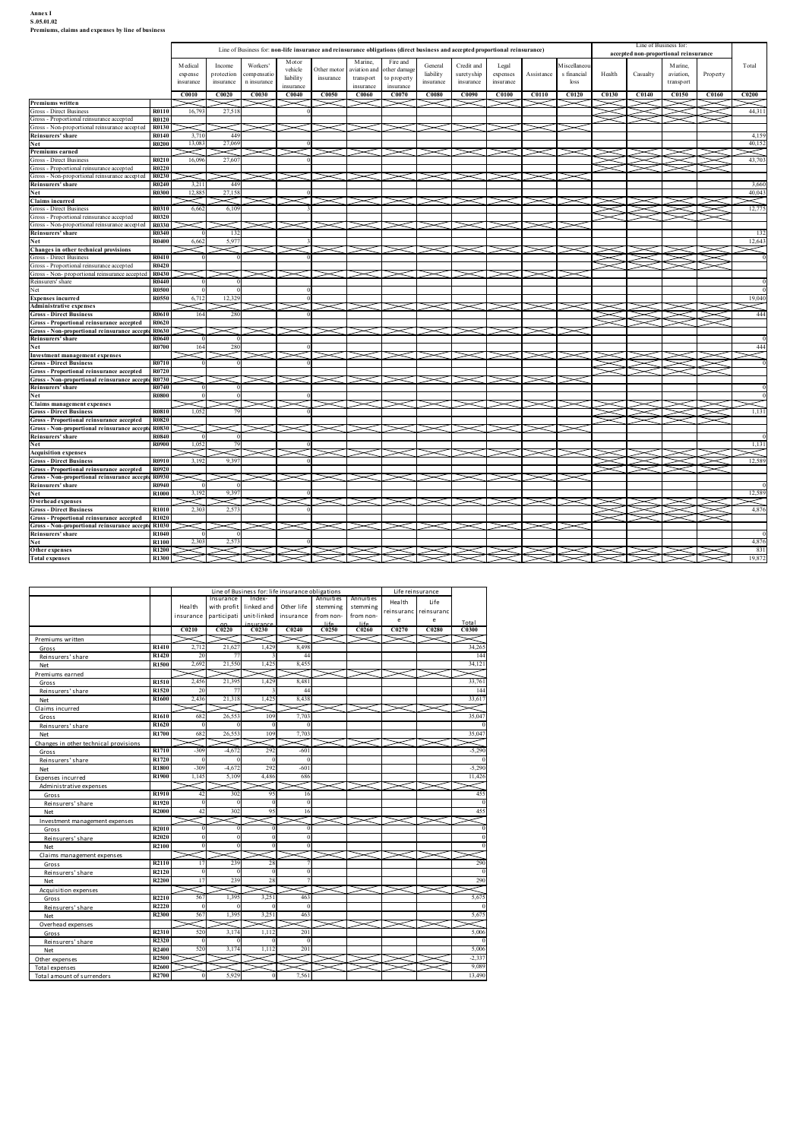| Annex I                                           |  |
|---------------------------------------------------|--|
| S.05.01.02                                        |  |
| Premiums, claims and expenses by line of business |  |

| Annex I<br>S.05.01.02                                                                                                                                    |                                |                                          |                                                                                                                              |                                                     |                                   |                                                                   |                                                              |                                                   |                                                |                                         |                               |                                                     |                 |                   |                                                                |                   |                              |
|----------------------------------------------------------------------------------------------------------------------------------------------------------|--------------------------------|------------------------------------------|------------------------------------------------------------------------------------------------------------------------------|-----------------------------------------------------|-----------------------------------|-------------------------------------------------------------------|--------------------------------------------------------------|---------------------------------------------------|------------------------------------------------|-----------------------------------------|-------------------------------|-----------------------------------------------------|-----------------|-------------------|----------------------------------------------------------------|-------------------|------------------------------|
| Premiums, claims and expenses by line of business                                                                                                        |                                |                                          | Line of Business for: non-life insurance and reinsurance obligations (direct business and accepted proportional reinsurance) |                                                     |                                   |                                                                   |                                                              |                                                   |                                                |                                         |                               |                                                     |                 |                   | Line of Business for:<br>accepted non-proportional reinsurance |                   |                              |
|                                                                                                                                                          |                                | Medical<br>expense<br>insurance<br>C0010 | Income<br>Workers'<br>protection<br>compensatio<br>insurance<br>n insurance<br>C0020<br>C0030                                | Motor<br>vehicle<br>liability<br>insurance<br>C0040 | Other motor<br>insurance<br>C0050 | Marine,<br>aviation and<br>transport<br>insurance<br><b>C0060</b> | Fire and<br>other damage<br>o property<br>insurance<br>C0070 | General<br>liability<br>insurance<br><b>C0080</b> | Credit and<br>suretyship<br>insurance<br>C0090 | Legal<br>expenses<br>insurance<br>C0100 | Assistance<br><b>C0110</b>    | M iscellaneo<br>s financial<br>loss<br><b>C0120</b> | Health<br>C0130 | Casualty<br>C0140 | Marine,<br>aviation,<br>transport<br>C0150                     | Property<br>C0160 | Total<br>C0200               |
| Premiums written<br><b>Gross - Direct Business</b><br>Gross - Proportional reinsurance accepted<br>Gross - Non-proportional reinsurance accepted   R0130 | R0110<br>R0120                 | 16,79                                    | 27,51                                                                                                                        |                                                     |                                   | $\check{~}$<br>$>\!<$                                             | $\prec$                                                      | $\prec$                                           |                                                |                                         |                               |                                                     |                 |                   |                                                                |                   | 44,311                       |
| Reinsurers' share<br>Net<br>Premiums earned                                                                                                              | R0140<br><b>R0200</b>          | 3,71<br>13,08<br>$\!<\!$                 | 449<br>27,069<br>$\!<\!$                                                                                                     |                                                     |                                   | $\prec$                                                           | $\prec$                                                      | $\prec$                                           | $\prec$                                        | $\asymp$                                | $\prec$                       |                                                     |                 |                   |                                                                |                   | 4.159<br>40,152<br>$\ltimes$ |
| Gross - Direct Business<br>Gross - Proportional reinsurance accepted                                                                                     | R0210<br>R0220                 | 16,096                                   | 27,60                                                                                                                        |                                                     |                                   |                                                                   |                                                              |                                                   |                                                |                                         |                               |                                                     | $\leq$          |                   |                                                                |                   | 43,703                       |
| Gross - Non-proportional reinsurance accepted R0230<br>Reinsurers' share<br>Net                                                                          | R0240<br>R0300                 | 3,21<br>12,885                           | 449<br>27,158                                                                                                                |                                                     |                                   | $>\!<$                                                            | $\prec$                                                      | $>\!<$ l $\,$                                     | $\prec$                                        | $\asymp$                                | $\prec$                       |                                                     |                 |                   |                                                                |                   | 3,660<br>40,043              |
| <b>Claims incurred</b><br><b>Gross - Direct Business</b><br>Gross - Proportional reinsurance accepted                                                    | R0310<br>R0320                 | 6,662                                    | 6,109                                                                                                                        |                                                     |                                   | $\!$                                                              |                                                              |                                                   |                                                |                                         | $\asymp$                      |                                                     | ➤               |                   |                                                                |                   | $\lt$<br>12,775              |
| Gross - Non-proportional reinsurance accepted R0330<br>Reinsurers' share<br>Net                                                                          | R0340<br>R0400                 | 6,662                                    | 13<br>5.97                                                                                                                   |                                                     |                                   | $>\!<$                                                            | $\prec$                                                      |                                                   |                                                |                                         |                               |                                                     |                 |                   |                                                                |                   | 132<br>12,643                |
| Changes in other technical provisions<br><b>Gross - Direct Business</b>                                                                                  | R0410                          |                                          |                                                                                                                              |                                                     |                                   |                                                                   | $\prec$                                                      |                                                   |                                                |                                         |                               |                                                     |                 | $\searrow$        | া≫                                                             |                   | $\lt$                        |
| Gross - Proportional reinsurance accepted<br>Gross - Non- proportional reinsurance accepted R0430<br>Reinsurers' share                                   | R0420<br>R0440                 |                                          |                                                                                                                              | $\!>\!<$ $\!>\!<$                                   |                                   | $\times$ r $\times$ r $\times$                                    |                                                              |                                                   | $>\!<$                                         | $>\!<$ l                                | $\check{~}$                   |                                                     |                 |                   |                                                                |                   |                              |
| <b>Expenses incurred</b><br><b>Administrative expenses</b>                                                                                               | <b>R0500</b><br>R0550          | 6,71                                     | 12,329                                                                                                                       | ≦                                                   |                                   | $\times$ r $\times$ r $\times$                                    |                                                              |                                                   | $\prec$                                        | $>\!<$ l                                | $\bm{\times}$ r $\bm{\times}$ |                                                     | ➤               |                   |                                                                |                   | 19,040<br>$\ltimes$          |
| <b>Gross - Direct Business</b><br>Gross - Proportional reinsurance accepted R0620<br>Gross - Non-proportional reinsurance accepte R0630                  | R0610                          | 164                                      | 280                                                                                                                          |                                                     |                                   |                                                                   |                                                              |                                                   |                                                |                                         |                               |                                                     |                 |                   |                                                                |                   | 444                          |
| Reinsurers' share<br>Net                                                                                                                                 | R0640<br>R0700                 | 164                                      |                                                                                                                              |                                                     |                                   |                                                                   |                                                              |                                                   |                                                |                                         |                               |                                                     |                 |                   |                                                                |                   | 444                          |
| <b>Investment management expenses</b><br><b>Gross - Direct Business</b><br>Gross - Proportional reinsurance accepted                                     | R0710<br>R0720                 |                                          |                                                                                                                              |                                                     |                                   | $>\!<$                                                            | $\prec$                                                      | ➤                                                 | $\asymp$                                       | $>\!<$                                  | $\succ$                       |                                                     |                 | $\searrow$        | ⊂l                                                             |                   |                              |
| Gross - Non-proportional reinsurance accepte R0730<br>Reinsurers' share<br>Net                                                                           | R0740<br><b>R0800</b>          |                                          |                                                                                                                              |                                                     |                                   | $>\!<$                                                            | $>\!<$                                                       | $>\!<$ l $\,$                                     | $\asymp$                                       | $>\!<$                                  | $>\!<$                        |                                                     |                 |                   |                                                                |                   |                              |
| <b>Claims management expenses</b><br><b>Gross - Direct Business</b><br>Gross - Proportional reinsurance accepted R0820                                   | R0810                          | 1,05                                     |                                                                                                                              |                                                     |                                   |                                                                   |                                                              |                                                   |                                                |                                         |                               |                                                     |                 | $\searrow$<br>=   | ⊲≫                                                             | ╰                 | 1,131                        |
| Gross - Non-proportional reinsurance accepte R0830<br>Reinsurers' share                                                                                  | <b>R0840</b>                   |                                          |                                                                                                                              |                                                     |                                   |                                                                   |                                                              |                                                   |                                                |                                         |                               |                                                     |                 |                   |                                                                |                   |                              |
| Net<br><b>Acquisition expenses</b><br><b>Gross - Direct Business</b>                                                                                     | <b>R0900</b><br>R0910          | 1,052<br>3,192                           | 9,39                                                                                                                         |                                                     |                                   |                                                                   |                                                              |                                                   |                                                |                                         |                               |                                                     |                 |                   |                                                                |                   | 1,131<br>12,589              |
| Gross - Proportional reinsurance accepted<br>Gross - Non-proportional reinsurance accepte R0930<br>Reinsurers' share                                     | R0920<br>R0940                 | $\prec$                                  |                                                                                                                              |                                                     |                                   | <b>XIXIXI</b>                                                     |                                                              |                                                   | $>\!<$                                         | $>\!<$ l $\,$                           | $\prec$                       |                                                     |                 |                   |                                                                |                   |                              |
| Net<br>Overhead expenses<br><b>Gross - Direct Business</b>                                                                                               | <b>R1000</b><br>R1010          | 3,192<br>$\lt$<br>2,303                  | 9,39<br>2,57                                                                                                                 |                                                     |                                   | $>\!<$                                                            |                                                              | $\times$                                          | $\asymp$                                       | $\asymp$                                | $\mathord{\succ}\,$           |                                                     |                 |                   | E III                                                          |                   | 12,589<br>N<br>4,876         |
| Gross - Proportional reinsurance accepted<br>Gross - Non-proportional reinsurance accepte R1030                                                          | R1020                          |                                          |                                                                                                                              |                                                     |                                   | $\check{~}$                                                       | $\check{~}$                                                  | ↘                                                 |                                                | $\check{~}$                             | ↘                             |                                                     |                 |                   |                                                                |                   |                              |
| Reinsurers' share<br>Net<br>Other expenses                                                                                                               | R1040<br>R1100<br>R1200        | 2,303                                    | 2,57                                                                                                                         |                                                     |                                   |                                                                   |                                                              |                                                   |                                                |                                         |                               |                                                     |                 |                   |                                                                |                   | 4,876<br>831                 |
| <b>Total expenses</b>                                                                                                                                    | R1300                          |                                          | Line of Business for: life insurance obligations                                                                             |                                                     |                                   |                                                                   |                                                              | Life reinsurance                                  |                                                |                                         |                               |                                                     |                 |                   |                                                                |                   | 19,872                       |
|                                                                                                                                                          |                                | Health<br>insurance                      | Insurance<br>Index-<br>with profit<br>linked and<br>unit-linked<br>participati                                               | Other life<br>insurance                             | stemming<br>from non-             | Annuities Annuities<br>stemming<br>from non-                      | Health<br>reinsuranc                                         | Life<br>reinsuranc                                |                                                |                                         |                               |                                                     |                 |                   |                                                                |                   |                              |
|                                                                                                                                                          |                                | C0210                                    | C0220<br>C0230                                                                                                               | C0240                                               | 1:4.7<br>C0250                    | life<br><b>C0260</b>                                              | e<br>C0270                                                   | e<br>$\bf C0280$                                  | Total<br>C0300<br>$\,<$                        |                                         |                               |                                                     |                 |                   |                                                                |                   |                              |
| Premiums written<br>Gross<br>Reinsurers' share                                                                                                           | R1410<br>R1420                 | 2,712<br>-20                             | 21,62<br>1,429                                                                                                               | 8,498<br>$\overline{4}$                             |                                   |                                                                   |                                                              |                                                   | 34,265<br>144                                  |                                         |                               |                                                     |                 |                   |                                                                |                   |                              |
| Net<br>Premiums earned<br>Gross                                                                                                                          | R1500<br>R1510                 | 2,692<br>2,456                           | 21,550<br>1,425<br>21,395<br>1,429                                                                                           | 8,455<br>8,481                                      |                                   |                                                                   |                                                              |                                                   | 34,121<br>$\,<$<br>33,761                      |                                         |                               |                                                     |                 |                   |                                                                |                   |                              |
| Reinsurers' share<br>Net                                                                                                                                 | R1520<br>R1600                 | - 20<br>2,436                            | 1,425<br>21,318                                                                                                              | - 44<br>8,438                                       |                                   |                                                                   |                                                              |                                                   | 144<br>33,617                                  |                                         |                               |                                                     |                 |                   |                                                                |                   |                              |
| Claims incurred<br>Gross<br>Reinsurers' share                                                                                                            | R1610<br>R1620                 | 682                                      | 26,553                                                                                                                       | 109<br>7,70                                         |                                   |                                                                   |                                                              |                                                   | ⋜<br>35,047                                    |                                         |                               |                                                     |                 |                   |                                                                |                   |                              |
| Net<br>Changes in other technical provisions                                                                                                             | R1700                          | 682                                      | 26,553                                                                                                                       | 109<br>7.70                                         |                                   |                                                                   |                                                              |                                                   | 35,047<br>Λ                                    |                                         |                               |                                                     |                 |                   |                                                                |                   |                              |
| Gross<br>Reinsurers' share<br>Net                                                                                                                        | R1710<br>R1720<br><b>R1800</b> | $-309$<br>$-309$                         | $-4,67.$<br>$-4,67.$                                                                                                         | 292<br>-60<br>292<br>$-601$                         |                                   |                                                                   |                                                              |                                                   | $-5,290$<br>$-5,290$                           |                                         |                               |                                                     |                 |                   |                                                                |                   |                              |
| Expenses incurred<br>Administrative expenses                                                                                                             | <b>R1900</b>                   | 1,145                                    | 5,109<br>4,486                                                                                                               | 686<br>اسم                                          |                                   | $\times$ r $\times$ r $\times$                                    |                                                              |                                                   | 11,426<br>$\ltimes$                            |                                         |                               |                                                     |                 |                   |                                                                |                   |                              |
| Gross<br>Reinsurers' share<br>Net                                                                                                                        | R1910<br>R1920<br>R2000        | 42<br>42                                 | 302<br>302                                                                                                                   | 95<br>95                                            |                                   |                                                                   |                                                              |                                                   | 455<br>455                                     |                                         |                               |                                                     |                 |                   |                                                                |                   |                              |
| Investment management expenses                                                                                                                           | R2010                          |                                          |                                                                                                                              |                                                     | $\asymp$                          | $>\!<$                                                            | $\prec$                                                      | $\,>\,$                                           | $\times$                                       |                                         |                               |                                                     |                 |                   |                                                                |                   |                              |
| Gross<br>Reinsurers' share                                                                                                                               | <b>R2020</b>                   |                                          |                                                                                                                              |                                                     |                                   |                                                                   |                                                              |                                                   |                                                |                                         |                               |                                                     |                 |                   |                                                                |                   |                              |

| Gross - Non-proportional reinsurance accepte R0830<br>Reinsurers' share | <b>R0840</b> | $\Omega$          |                     |                                                            |            |                  |               |                                   |                  |          |   |       |   |  |  |        |
|-------------------------------------------------------------------------|--------------|-------------------|---------------------|------------------------------------------------------------|------------|------------------|---------------|-----------------------------------|------------------|----------|---|-------|---|--|--|--------|
|                                                                         |              |                   |                     |                                                            |            |                  |               |                                   |                  |          |   |       |   |  |  |        |
| Net                                                                     | <b>R0900</b> | 1,052             | 79                  |                                                            |            |                  |               |                                   |                  |          |   |       |   |  |  | 1.131  |
| <b>Acquisition expenses</b>                                             |              |                   |                     |                                                            |            | ~                | -             | $\mathord{\sim}$                  | $\breve{~}$      | $\prec$  | ~ | $\,<$ | ∽ |  |  |        |
| <b>Gross - Direct Business</b>                                          | <b>R0910</b> | 3,192             | 9,397               |                                                            |            |                  |               |                                   |                  |          |   |       |   |  |  | 12,589 |
| Gross - Proportional reinsurance accepted                               | R0920        |                   |                     |                                                            |            |                  |               |                                   |                  |          |   |       |   |  |  |        |
| Gross - Non-proportional reinsurance accepte R0930                      |              |                   |                     |                                                            |            |                  | $\check{~}$   |                                   |                  |          |   |       |   |  |  |        |
| Reinsurers' share                                                       | R0940        | $\overline{0}$    |                     |                                                            |            |                  |               |                                   |                  |          |   |       |   |  |  |        |
| Net                                                                     | <b>R1000</b> | 3,192             | 9,397               |                                                            |            |                  |               |                                   |                  |          |   |       |   |  |  | 12,589 |
|                                                                         |              | ≂                 |                     |                                                            |            |                  |               |                                   |                  |          |   |       |   |  |  |        |
| Overhead expenses                                                       |              |                   |                     |                                                            |            | V                |               |                                   |                  |          |   |       | V |  |  |        |
| <b>Gross - Direct Business</b>                                          | R1010        | 2,303             | 2,573               |                                                            |            |                  |               |                                   |                  |          |   |       |   |  |  | 4,876  |
| Gross - Proportional reinsurance accepted                               | R1020        |                   |                     |                                                            |            |                  |               |                                   |                  |          |   |       |   |  |  |        |
| Gross - Non-proportional reinsurance accepto R1030                      |              |                   |                     |                                                            |            |                  |               |                                   |                  |          |   |       |   |  |  |        |
| Reinsurers' share                                                       | R1040        | $\vert$ 0         |                     |                                                            |            |                  |               |                                   |                  |          |   |       |   |  |  |        |
| Net                                                                     | R1100        | 2,303             | 2,573               |                                                            |            |                  |               |                                   |                  |          |   |       |   |  |  | 4,876  |
|                                                                         |              |                   |                     |                                                            |            |                  |               |                                   |                  |          |   |       |   |  |  |        |
| Other expenses                                                          | R1200        |                   |                     |                                                            |            |                  |               |                                   |                  |          |   |       |   |  |  | 831    |
| <b>Total expenses</b>                                                   | R1300        |                   |                     |                                                            |            |                  |               |                                   |                  |          |   |       |   |  |  | 19,872 |
|                                                                         |              |                   | Insurance           | Line of Business for: life insurance obligations<br>Index- |            | Annuities        | Annuities     |                                   | Life reinsurance |          |   |       |   |  |  |        |
|                                                                         |              | Health            | with profit         | inked and                                                  | Other life | stemming         | stemming      | Health                            | Life             |          |   |       |   |  |  |        |
|                                                                         |              |                   |                     |                                                            |            |                  |               | reinsuranc                        | reinsurand       |          |   |       |   |  |  |        |
|                                                                         |              | nsurance          | participati         | unit-linked                                                | insurance  | from non-        | from non-     | $\mathsf{e}% _{t}\left( t\right)$ | $\mathsf{e}$     | Total    |   |       |   |  |  |        |
|                                                                         |              | C <sub>0210</sub> | $\alpha$ r<br>C0220 | nsurance<br>C0230                                          | C0240      | $l$ ife<br>C0250 | life<br>C0260 | C0270                             | C0280            | C0300    |   |       |   |  |  |        |
|                                                                         |              |                   |                     |                                                            |            |                  |               |                                   |                  |          |   |       |   |  |  |        |
| Premiums written                                                        |              |                   |                     |                                                            |            |                  |               |                                   |                  |          |   |       |   |  |  |        |
| Gross                                                                   | R1410        | 2,712             | 21,627              | 1,429                                                      | 8,498      |                  |               |                                   |                  | 34,26    |   |       |   |  |  |        |
| Reinsurers' share                                                       | R1420        | 20                | 77                  | $\overline{\mathbf{3}}$                                    | $-44$      |                  |               |                                   |                  | 144      |   |       |   |  |  |        |
|                                                                         | R1500        | 2.692             | 21,550              | 1,425                                                      | 8.455      |                  |               |                                   |                  | 34,121   |   |       |   |  |  |        |
| Net                                                                     |              | ≂                 | ≂                   | ≂                                                          |            |                  |               |                                   |                  |          |   |       |   |  |  |        |
| Premiums earned                                                         |              |                   |                     |                                                            | $\approx$  | $\prec$          | $\prec$       | $\checkmark$                      |                  | N        |   |       |   |  |  |        |
| Gross                                                                   | R1510        | 2,456             | 21,395              | 1,429                                                      | 8,481      |                  |               |                                   |                  | 33,76    |   |       |   |  |  |        |
| Reinsurers' share                                                       | R1520        | 20                |                     |                                                            | 44         |                  |               |                                   |                  | 144      |   |       |   |  |  |        |
| Net                                                                     | R1600        | 2,436             | 21,318              | 1,425                                                      | 8,438      |                  |               |                                   |                  | 33,617   |   |       |   |  |  |        |
|                                                                         |              |                   |                     |                                                            |            |                  | $\prec$       |                                   |                  |          |   |       |   |  |  |        |
| Claims incurred                                                         |              |                   |                     |                                                            |            |                  |               |                                   |                  | 35,047   |   |       |   |  |  |        |
| Gross                                                                   | R1610        | 682               | 26,553              | 109                                                        | 7,703      |                  |               |                                   |                  |          |   |       |   |  |  |        |
| Reinsurers' share                                                       | R1620        | $\bf{0}$          | $\Omega$            | $\theta$                                                   |            |                  |               |                                   |                  |          |   |       |   |  |  |        |
| Net                                                                     | R1700        | 682               | 26,553              | 109                                                        | 7,70       |                  |               |                                   |                  | 35,047   |   |       |   |  |  |        |
| Changes in other technical provisions                                   |              |                   |                     |                                                            |            |                  | ے             |                                   |                  |          |   |       |   |  |  |        |
|                                                                         | R1710        | $-309$            | $-4,672$            | 292                                                        | $-601$     |                  |               |                                   |                  | $-5,290$ |   |       |   |  |  |        |
| Gross                                                                   |              |                   |                     |                                                            |            |                  |               |                                   |                  |          |   |       |   |  |  |        |
| Reinsurers' share                                                       | R1720        | $\bf{0}$          |                     | $\theta$                                                   |            |                  |               |                                   |                  |          |   |       |   |  |  |        |
| Net                                                                     | R1800        | $-309$            | $-4,672$            | 292                                                        | $-601$     |                  |               |                                   |                  | $-5,290$ |   |       |   |  |  |        |
| Expenses incurred                                                       | R1900        | 1,145             | 5,109               | 4,486                                                      | 686        |                  |               |                                   |                  | 11,426   |   |       |   |  |  |        |
| Administrative expenses                                                 |              |                   |                     |                                                            |            |                  | ÷             |                                   |                  |          |   |       |   |  |  |        |
|                                                                         | R1910        |                   | 302                 | 95                                                         |            |                  |               |                                   |                  | 455      |   |       |   |  |  |        |
| Gross                                                                   |              | 42                |                     |                                                            |            |                  |               |                                   |                  |          |   |       |   |  |  |        |
| Reinsurers' share                                                       | R1920        | $\bf{0}$          | $\overline{0}$      | $\mathbf{0}$                                               |            |                  |               |                                   |                  |          |   |       |   |  |  |        |
| Net                                                                     | <b>R2000</b> | 42                | 302                 | 95                                                         |            |                  |               |                                   |                  | 455      |   |       |   |  |  |        |
| Investment management expenses                                          |              |                   |                     |                                                            |            |                  |               |                                   |                  |          |   |       |   |  |  |        |
|                                                                         | R2010        | $\bf{0}$          |                     | $\bf{0}$                                                   |            |                  |               |                                   |                  |          |   |       |   |  |  |        |
| Gross                                                                   |              |                   |                     |                                                            |            |                  |               |                                   |                  |          |   |       |   |  |  |        |
| Reinsurers' share                                                       | R2020        | $\overline{0}$    |                     | $\overline{0}$                                             |            |                  |               |                                   |                  |          |   |       |   |  |  |        |
| <b>Net</b>                                                              | R2100        | $\overline{0}$    |                     | $\mathbf{0}$                                               |            |                  |               |                                   |                  |          |   |       |   |  |  |        |
| Claims management expenses                                              |              |                   |                     |                                                            |            |                  |               |                                   |                  |          |   |       |   |  |  |        |
|                                                                         | R2110        | 17                | 239                 | 28                                                         |            |                  |               |                                   |                  | 290      |   |       |   |  |  |        |
| Gross                                                                   | R2120        |                   |                     |                                                            |            |                  |               |                                   |                  |          |   |       |   |  |  |        |
| Reinsurers' share                                                       |              | $\overline{0}$    | $\Omega$            | $\overline{0}$                                             |            |                  |               |                                   |                  | -6       |   |       |   |  |  |        |
| Net                                                                     | R2200        | 17                | 239                 | 28                                                         |            |                  |               |                                   |                  | 290      |   |       |   |  |  |        |
| Acquisition expenses                                                    |              |                   |                     | ⊂                                                          |            |                  |               |                                   |                  | ₹        |   |       |   |  |  |        |
| Gross                                                                   | R2210        | 567               | 1,395               | 3,251                                                      | 463        |                  |               |                                   |                  | 5,675    |   |       |   |  |  |        |
|                                                                         | R2220        | $\overline{0}$    | $\theta$            | $\theta$                                                   |            |                  |               |                                   |                  |          |   |       |   |  |  |        |
|                                                                         |              |                   |                     |                                                            |            |                  |               |                                   |                  |          |   |       |   |  |  |        |
| Reinsurers' share                                                       |              | 567               | 1,395               | 3,251                                                      | 463        |                  |               |                                   |                  | 5,675    |   |       |   |  |  |        |
| Net                                                                     | R2300        |                   | $\,<$               | Δ                                                          |            |                  |               |                                   |                  | $\,<$    |   |       |   |  |  |        |
|                                                                         |              | $\,<$             |                     |                                                            |            |                  |               |                                   |                  | 5,006    |   |       |   |  |  |        |
| Overhead expenses                                                       |              |                   |                     |                                                            |            |                  |               |                                   |                  |          |   |       |   |  |  |        |
| Gross                                                                   | R2310        | 520               | 3,174<br>$^{\circ}$ | 1,112                                                      | $201\,$    |                  |               |                                   |                  |          |   |       |   |  |  |        |
| Reinsurers' share                                                       | R2320        | $\overline{0}$    |                     | $\theta$                                                   |            |                  |               |                                   |                  |          |   |       |   |  |  |        |
| Net                                                                     | R2400        | 520               | 3,174               | 1,112                                                      | 201        |                  |               |                                   |                  | 5,006    |   |       |   |  |  |        |
|                                                                         | R2500        |                   |                     |                                                            |            |                  |               |                                   |                  | $-2,337$ |   |       |   |  |  |        |
| Other expenses<br>Total expenses                                        | R2600        |                   |                     |                                                            |            |                  |               |                                   |                  | 9,089    |   |       |   |  |  |        |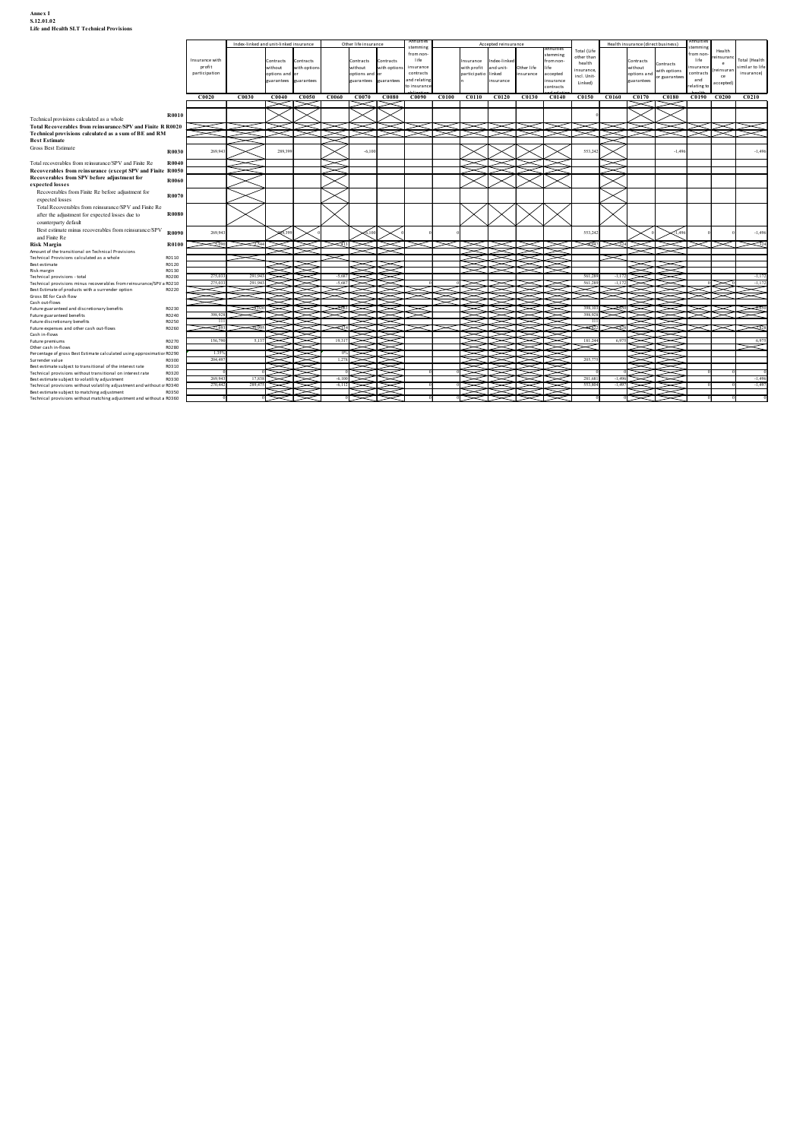| Insurance with<br>profit<br>participation<br>C0020<br>C0030<br>269.943 | Index-linked and unit-linked insurance<br>ontracts<br>Contracts<br>without<br>with option<br>options and or<br>arantees guarantee<br>$C0040$ $C0050$ | Other life insurance<br>Contracts<br>without<br>options and lo<br>arantees<br>C0060 C0070 C0080 | Contracts<br>with option<br>uarantee | Annuities<br>stemming<br>from non-<br>life<br>insurance<br>contracts<br>and relating<br>insuranc |                                                                                                                                                                                                                                                                                                                                                                      | nsurance<br>with profit<br>and unit-<br>participatio linked<br>C0090 C0100 C0110 C0120 C0130 C0140 | Accepted reinsurance<br>ndex-linke<br>Other life<br>insurance<br>nsurance | une<br>emmi ng<br>from non-<br>life<br>accepted<br>nsurance<br>contracts | Total (Life<br>other than<br>health<br>nsurance.<br>incl. Unit-<br>Linked) | C0150 C0160 C0170 | ontracts<br>without<br>uarantees | Health insurance (direct business)<br><b>Contracts</b><br>options and with options<br>or guarantee<br>C0180 | emmin<br>rom non<br>life<br>insurance<br>contracts<br>and<br>elating to | lealth<br>insuranc<br>Total (Health<br>e<br>similar to life<br>einsuran<br>insurance)<br>ce<br>cepted)<br>C0190 C0200 C0210 |
|------------------------------------------------------------------------|------------------------------------------------------------------------------------------------------------------------------------------------------|-------------------------------------------------------------------------------------------------|--------------------------------------|--------------------------------------------------------------------------------------------------|----------------------------------------------------------------------------------------------------------------------------------------------------------------------------------------------------------------------------------------------------------------------------------------------------------------------------------------------------------------------|----------------------------------------------------------------------------------------------------|---------------------------------------------------------------------------|--------------------------------------------------------------------------|----------------------------------------------------------------------------|-------------------|----------------------------------|-------------------------------------------------------------------------------------------------------------|-------------------------------------------------------------------------|-----------------------------------------------------------------------------------------------------------------------------|
|                                                                        |                                                                                                                                                      |                                                                                                 |                                      |                                                                                                  |                                                                                                                                                                                                                                                                                                                                                                      |                                                                                                    |                                                                           |                                                                          |                                                                            |                   |                                  |                                                                                                             |                                                                         |                                                                                                                             |
|                                                                        |                                                                                                                                                      |                                                                                                 |                                      |                                                                                                  |                                                                                                                                                                                                                                                                                                                                                                      |                                                                                                    |                                                                           |                                                                          |                                                                            |                   |                                  |                                                                                                             |                                                                         |                                                                                                                             |
|                                                                        |                                                                                                                                                      |                                                                                                 |                                      |                                                                                                  |                                                                                                                                                                                                                                                                                                                                                                      |                                                                                                    |                                                                           |                                                                          |                                                                            |                   |                                  |                                                                                                             |                                                                         |                                                                                                                             |
|                                                                        |                                                                                                                                                      |                                                                                                 |                                      |                                                                                                  |                                                                                                                                                                                                                                                                                                                                                                      |                                                                                                    |                                                                           |                                                                          |                                                                            |                   |                                  |                                                                                                             |                                                                         |                                                                                                                             |
|                                                                        |                                                                                                                                                      |                                                                                                 |                                      |                                                                                                  |                                                                                                                                                                                                                                                                                                                                                                      |                                                                                                    |                                                                           |                                                                          |                                                                            |                   |                                  |                                                                                                             |                                                                         |                                                                                                                             |
|                                                                        |                                                                                                                                                      |                                                                                                 |                                      |                                                                                                  |                                                                                                                                                                                                                                                                                                                                                                      |                                                                                                    |                                                                           |                                                                          |                                                                            |                   |                                  |                                                                                                             |                                                                         |                                                                                                                             |
|                                                                        |                                                                                                                                                      |                                                                                                 |                                      |                                                                                                  |                                                                                                                                                                                                                                                                                                                                                                      |                                                                                                    |                                                                           |                                                                          |                                                                            |                   |                                  |                                                                                                             |                                                                         |                                                                                                                             |
|                                                                        |                                                                                                                                                      |                                                                                                 |                                      |                                                                                                  |                                                                                                                                                                                                                                                                                                                                                                      |                                                                                                    |                                                                           |                                                                          |                                                                            |                   |                                  |                                                                                                             |                                                                         |                                                                                                                             |
|                                                                        |                                                                                                                                                      |                                                                                                 |                                      |                                                                                                  |                                                                                                                                                                                                                                                                                                                                                                      |                                                                                                    |                                                                           |                                                                          |                                                                            |                   |                                  |                                                                                                             |                                                                         |                                                                                                                             |
|                                                                        |                                                                                                                                                      |                                                                                                 |                                      |                                                                                                  |                                                                                                                                                                                                                                                                                                                                                                      |                                                                                                    |                                                                           |                                                                          |                                                                            |                   |                                  |                                                                                                             |                                                                         |                                                                                                                             |
|                                                                        |                                                                                                                                                      |                                                                                                 |                                      |                                                                                                  |                                                                                                                                                                                                                                                                                                                                                                      |                                                                                                    |                                                                           |                                                                          |                                                                            |                   |                                  |                                                                                                             |                                                                         |                                                                                                                             |
|                                                                        |                                                                                                                                                      |                                                                                                 |                                      |                                                                                                  |                                                                                                                                                                                                                                                                                                                                                                      |                                                                                                    |                                                                           |                                                                          |                                                                            |                   |                                  |                                                                                                             |                                                                         |                                                                                                                             |
|                                                                        |                                                                                                                                                      |                                                                                                 |                                      |                                                                                                  |                                                                                                                                                                                                                                                                                                                                                                      |                                                                                                    |                                                                           |                                                                          |                                                                            |                   |                                  |                                                                                                             |                                                                         |                                                                                                                             |
|                                                                        |                                                                                                                                                      |                                                                                                 |                                      |                                                                                                  |                                                                                                                                                                                                                                                                                                                                                                      |                                                                                                    |                                                                           |                                                                          |                                                                            |                   |                                  |                                                                                                             |                                                                         |                                                                                                                             |
|                                                                        |                                                                                                                                                      |                                                                                                 |                                      |                                                                                                  |                                                                                                                                                                                                                                                                                                                                                                      |                                                                                                    |                                                                           |                                                                          |                                                                            |                   |                                  |                                                                                                             |                                                                         |                                                                                                                             |
|                                                                        |                                                                                                                                                      |                                                                                                 |                                      |                                                                                                  |                                                                                                                                                                                                                                                                                                                                                                      |                                                                                                    |                                                                           |                                                                          |                                                                            |                   |                                  |                                                                                                             |                                                                         |                                                                                                                             |
|                                                                        |                                                                                                                                                      |                                                                                                 |                                      |                                                                                                  |                                                                                                                                                                                                                                                                                                                                                                      |                                                                                                    |                                                                           |                                                                          |                                                                            |                   |                                  |                                                                                                             |                                                                         |                                                                                                                             |
|                                                                        |                                                                                                                                                      |                                                                                                 |                                      |                                                                                                  |                                                                                                                                                                                                                                                                                                                                                                      |                                                                                                    |                                                                           |                                                                          |                                                                            |                   |                                  |                                                                                                             |                                                                         |                                                                                                                             |
|                                                                        |                                                                                                                                                      |                                                                                                 |                                      |                                                                                                  |                                                                                                                                                                                                                                                                                                                                                                      |                                                                                                    |                                                                           |                                                                          |                                                                            |                   |                                  |                                                                                                             |                                                                         |                                                                                                                             |
|                                                                        |                                                                                                                                                      |                                                                                                 |                                      |                                                                                                  |                                                                                                                                                                                                                                                                                                                                                                      |                                                                                                    |                                                                           |                                                                          |                                                                            |                   |                                  |                                                                                                             |                                                                         |                                                                                                                             |
|                                                                        |                                                                                                                                                      |                                                                                                 |                                      |                                                                                                  |                                                                                                                                                                                                                                                                                                                                                                      |                                                                                                    |                                                                           |                                                                          |                                                                            |                   |                                  |                                                                                                             |                                                                         |                                                                                                                             |
|                                                                        |                                                                                                                                                      |                                                                                                 |                                      |                                                                                                  |                                                                                                                                                                                                                                                                                                                                                                      |                                                                                                    |                                                                           |                                                                          |                                                                            |                   |                                  |                                                                                                             |                                                                         |                                                                                                                             |
|                                                                        |                                                                                                                                                      |                                                                                                 |                                      |                                                                                                  |                                                                                                                                                                                                                                                                                                                                                                      |                                                                                                    |                                                                           |                                                                          |                                                                            |                   |                                  |                                                                                                             | ⋙                                                                       |                                                                                                                             |
|                                                                        | 289,399                                                                                                                                              | $-6.100$                                                                                        |                                      |                                                                                                  |                                                                                                                                                                                                                                                                                                                                                                      |                                                                                                    |                                                                           |                                                                          | 553.24                                                                     |                   |                                  | $-1.4$                                                                                                      |                                                                         | $-1.49$                                                                                                                     |
|                                                                        |                                                                                                                                                      |                                                                                                 |                                      |                                                                                                  |                                                                                                                                                                                                                                                                                                                                                                      |                                                                                                    |                                                                           |                                                                          |                                                                            |                   |                                  |                                                                                                             |                                                                         |                                                                                                                             |
|                                                                        |                                                                                                                                                      |                                                                                                 |                                      |                                                                                                  |                                                                                                                                                                                                                                                                                                                                                                      |                                                                                                    |                                                                           |                                                                          |                                                                            |                   |                                  |                                                                                                             |                                                                         |                                                                                                                             |
|                                                                        |                                                                                                                                                      |                                                                                                 |                                      |                                                                                                  |                                                                                                                                                                                                                                                                                                                                                                      |                                                                                                    |                                                                           |                                                                          |                                                                            |                   |                                  |                                                                                                             |                                                                         |                                                                                                                             |
|                                                                        |                                                                                                                                                      |                                                                                                 |                                      |                                                                                                  |                                                                                                                                                                                                                                                                                                                                                                      |                                                                                                    |                                                                           |                                                                          |                                                                            |                   |                                  |                                                                                                             |                                                                         |                                                                                                                             |
|                                                                        |                                                                                                                                                      |                                                                                                 |                                      |                                                                                                  |                                                                                                                                                                                                                                                                                                                                                                      |                                                                                                    |                                                                           |                                                                          |                                                                            |                   |                                  |                                                                                                             |                                                                         |                                                                                                                             |
| 269,943                                                                |                                                                                                                                                      |                                                                                                 |                                      |                                                                                                  |                                                                                                                                                                                                                                                                                                                                                                      |                                                                                                    |                                                                           |                                                                          | 553,242                                                                    |                   |                                  |                                                                                                             |                                                                         | $-1,496$                                                                                                                    |
| $\sum_{090}$                                                           |                                                                                                                                                      |                                                                                                 |                                      |                                                                                                  |                                                                                                                                                                                                                                                                                                                                                                      |                                                                                                    |                                                                           |                                                                          | >≼04                                                                       |                   |                                  |                                                                                                             |                                                                         |                                                                                                                             |
|                                                                        |                                                                                                                                                      |                                                                                                 |                                      |                                                                                                  |                                                                                                                                                                                                                                                                                                                                                                      |                                                                                                    |                                                                           |                                                                          |                                                                            |                   |                                  |                                                                                                             |                                                                         |                                                                                                                             |
| 291,943<br>275.03                                                      |                                                                                                                                                      |                                                                                                 |                                      |                                                                                                  |                                                                                                                                                                                                                                                                                                                                                                      |                                                                                                    |                                                                           |                                                                          | 561,28                                                                     |                   |                                  |                                                                                                             |                                                                         | -1.17                                                                                                                       |
|                                                                        | $-5,687$<br>➤                                                                                                                                        |                                                                                                 |                                      |                                                                                                  |                                                                                                                                                                                                                                                                                                                                                                      |                                                                                                    |                                                                           |                                                                          |                                                                            |                   |                                  |                                                                                                             |                                                                         |                                                                                                                             |
|                                                                        |                                                                                                                                                      |                                                                                                 |                                      |                                                                                                  |                                                                                                                                                                                                                                                                                                                                                                      |                                                                                                    |                                                                           |                                                                          |                                                                            |                   |                                  |                                                                                                             |                                                                         |                                                                                                                             |
| 398,928                                                                |                                                                                                                                                      |                                                                                                 |                                      |                                                                                                  |                                                                                                                                                                                                                                                                                                                                                                      |                                                                                                    |                                                                           |                                                                          | 398,9                                                                      |                   |                                  |                                                                                                             |                                                                         |                                                                                                                             |
| $-27.693$                                                              | w                                                                                                                                                    |                                                                                                 |                                      |                                                                                                  |                                                                                                                                                                                                                                                                                                                                                                      |                                                                                                    |                                                                           |                                                                          |                                                                            |                   |                                  | u.                                                                                                          |                                                                         |                                                                                                                             |
| 156,790                                                                |                                                                                                                                                      |                                                                                                 |                                      |                                                                                                  |                                                                                                                                                                                                                                                                                                                                                                      |                                                                                                    |                                                                           |                                                                          | 181.2                                                                      |                   |                                  |                                                                                                             |                                                                         | $\frac{6,975}{2}$                                                                                                           |
| 1.35%<br>204,497                                                       |                                                                                                                                                      |                                                                                                 |                                      |                                                                                                  |                                                                                                                                                                                                                                                                                                                                                                      |                                                                                                    |                                                                           |                                                                          | 205,7                                                                      |                   | X                                |                                                                                                             |                                                                         |                                                                                                                             |
|                                                                        |                                                                                                                                                      |                                                                                                 |                                      |                                                                                                  |                                                                                                                                                                                                                                                                                                                                                                      |                                                                                                    |                                                                           |                                                                          |                                                                            |                   | ➢                                |                                                                                                             |                                                                         |                                                                                                                             |
| 270,442<br>289,4                                                       |                                                                                                                                                      |                                                                                                 |                                      |                                                                                                  |                                                                                                                                                                                                                                                                                                                                                                      |                                                                                                    |                                                                           |                                                                          | 553,80                                                                     |                   |                                  |                                                                                                             |                                                                         | $-1.496$<br>$-1,497$                                                                                                        |
|                                                                        |                                                                                                                                                      |                                                                                                 |                                      |                                                                                                  |                                                                                                                                                                                                                                                                                                                                                                      |                                                                                                    |                                                                           |                                                                          |                                                                            |                   |                                  |                                                                                                             |                                                                         |                                                                                                                             |
|                                                                        | 275.0<br>291.943<br>269,943<br>17,838                                                                                                                | <b>BARA A SABARAY</b><br>A SAMARA A SABA<br>≋≋                                                  |                                      | $\leq$ 5,687<br>XXX<br>$\leq$ $\geq$ $\leq$ $\geq$ $\leq$                                        | ⋚⋕<br>$\begin{picture}(120,15) \put(0,0){\line(1,0){150}} \put(15,0){\line(1,0){150}} \put(15,0){\line(1,0){150}} \put(15,0){\line(1,0){150}} \put(15,0){\line(1,0){150}} \put(15,0){\line(1,0){150}} \put(15,0){\line(1,0){150}} \put(15,0){\line(1,0){150}} \put(15,0){\line(1,0){150}} \put(15,0){\line(1,0){150}} \put(15,0){\line(1,0){150}}$<br>▓ <del>≋</del> |                                                                                                    | <b>MAN</b>                                                                |                                                                          | $\gg$                                                                      |                   | 561,28<br>$-5322$<br>281.681     | $-1.172$<br>$\geqslant$<br>$-1.496$                                                                         | WYW.<br><u>is Kara</u>                                                  |                                                                                                                             |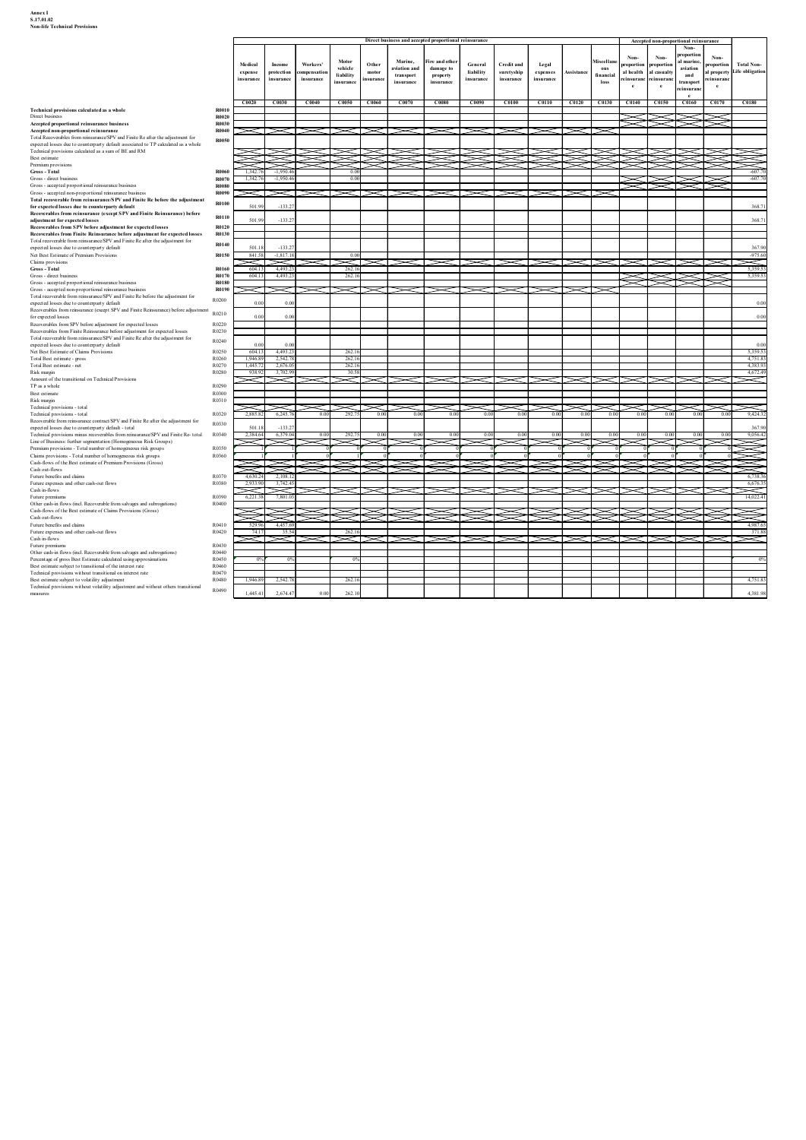# Annex I<br>S.17.01.02<br>Non-life Technical Provisions

| Annex I<br>S.17.01.02<br><b>Non-life Technical Provisions</b>                                                                                                                                                             |                                              |                                                 |                        |                                  |                   |                                        |                                                       |                                |                         |                       |             |                                    |                         |                                                     |                               |                                               |
|---------------------------------------------------------------------------------------------------------------------------------------------------------------------------------------------------------------------------|----------------------------------------------|-------------------------------------------------|------------------------|----------------------------------|-------------------|----------------------------------------|-------------------------------------------------------|--------------------------------|-------------------------|-----------------------|-------------|------------------------------------|-------------------------|-----------------------------------------------------|-------------------------------|-----------------------------------------------|
|                                                                                                                                                                                                                           |                                              |                                                 |                        |                                  |                   |                                        |                                                       |                                |                         |                       |             |                                    |                         |                                                     |                               |                                               |
|                                                                                                                                                                                                                           |                                              |                                                 |                        |                                  |                   |                                        |                                                       |                                |                         |                       |             |                                    |                         |                                                     |                               |                                               |
|                                                                                                                                                                                                                           |                                              |                                                 |                        |                                  |                   |                                        |                                                       |                                |                         |                       |             |                                    |                         |                                                     |                               |                                               |
|                                                                                                                                                                                                                           |                                              |                                                 |                        |                                  |                   |                                        |                                                       |                                |                         |                       |             |                                    |                         |                                                     |                               |                                               |
|                                                                                                                                                                                                                           |                                              |                                                 |                        |                                  |                   |                                        |                                                       |                                |                         |                       |             |                                    |                         |                                                     |                               |                                               |
|                                                                                                                                                                                                                           |                                              |                                                 |                        |                                  |                   |                                        | Direct business and accepted proportional reinsurance |                                |                         |                       |             |                                    |                         | Accepted non-proportional reinsurance               |                               |                                               |
|                                                                                                                                                                                                                           |                                              | Medical<br>Income                               | <b>Workers</b>         | Motor                            | Other             | Marine,                                | ire and other                                         | General                        | <b>Credit and</b>       | Legal                 |             | Miscellan                          | Non-<br>roportion       | Non-<br>Non-<br>d marine.<br>roportio               | oportion<br>Non-<br>roportion | <b>Total Non-</b>                             |
|                                                                                                                                                                                                                           |                                              | expense<br>protection<br>insurance<br>insurance | npensatio<br>insurance | vehicle<br>liability<br>nsurance | motor<br>nsurance | aviation and<br>transport<br>insurance | damage to<br>property<br>insurance                    | liability<br>insurance         | suretyship<br>insurance | expenses<br>insurance | ssistar     | $_{\rm{ous}}$<br>financial<br>loss | al health<br>reinsuranc | al casualty<br>and<br>reinsurar<br>ransport         | aviation<br>insuranc          | al property Life obligation                   |
|                                                                                                                                                                                                                           |                                              | <b>C0020</b><br>C0030                           | C0040                  | <b>C0050</b>                     | C0060             | C0070                                  | C0080                                                 | C <sub>00</sub> 3 <sub>0</sub> | <b>C0100</b>            | <b>C0110</b>          | C0120 C0130 |                                    | C0140                   | $^{\circ}$<br>$\mathbf{e}$<br>C0150<br><b>C0160</b> | e<br>insuran<br>C0170         | C0180                                         |
| Technical provisions calculated as a whole<br>Direct business                                                                                                                                                             | <b>R0010</b><br><b>R0020</b>                 |                                                 |                        |                                  |                   |                                        |                                                       |                                |                         |                       |             |                                    |                         |                                                     |                               |                                               |
| Accepted proportional reinsurance business<br>Accepted non-proportional reinsurance<br>Total Recoverables from reinsurance/SPV and Finite Re after the adjustment for                                                     | R0030<br><b>R0040</b>                        |                                                 |                        |                                  |                   |                                        |                                                       |                                |                         |                       |             |                                    |                         |                                                     |                               |                                               |
| expected losses due to counterparty default associated to TP calculated as a whole<br>Technical provisions calculated as a sum of BE and RM                                                                               | <b>R0050</b>                                 |                                                 |                        |                                  |                   |                                        |                                                       |                                |                         |                       |             |                                    |                         |                                                     |                               |                                               |
| Best estimate<br>Premium provisions<br>Gross - Total                                                                                                                                                                      | <b>R0060</b>                                 | 1,342.76                                        | $-1.950.4$             |                                  |                   |                                        |                                                       |                                |                         |                       |             |                                    |                         |                                                     |                               |                                               |
| Gross - direct business<br>Gross - accepted proportional reinsurance business<br>Gross - accepted non-proportional reinsurance business                                                                                   | <b>R0070</b><br><b>R0080</b><br><b>R0090</b> | 1,342.76<br>$\asymp$                            | $-1,950.46$            | 0.00                             |                   |                                        |                                                       |                                | $\overline{a}$          |                       |             |                                    |                         |                                                     |                               | $-607.70$                                     |
| Total recoverable from reinsurance/SPV and Finite Re before the adjustment<br>for expected losses due to counterparty default                                                                                             | <b>R0100</b>                                 | 501.9                                           | $-133$                 |                                  |                   |                                        |                                                       |                                |                         |                       |             |                                    |                         |                                                     |                               | 368.71                                        |
| Recoverables from reinsurance (except SPV and Finite Reinsurance) before<br>adjustment for expected losses<br>Recoverables from SPV before adjustment for expected losses                                                 | R0110<br><b>R0120</b>                        | 501.99                                          | $-133.27$              |                                  |                   |                                        |                                                       |                                |                         |                       |             |                                    |                         |                                                     |                               | 368.71                                        |
| Recoverables from Finite Reinsurance before adjustment for expected losses<br>Total recoverable from reinsurance/SPV and Finite Re after the adjustment for                                                               | <b>R0130</b><br>R0140                        |                                                 |                        |                                  |                   |                                        |                                                       |                                |                         |                       |             |                                    |                         |                                                     |                               |                                               |
| expected losses due to counterparty default<br>Net Best Estimate of Premium Provisions<br>Claims provisions                                                                                                               | R0150                                        | 501.18<br>841.58<br>$-1,817.1$<br>N             | $-133.2$<br>ᆓ          | 0.00                             |                   |                                        |                                                       |                                |                         |                       |             |                                    |                         |                                                     |                               | 367.90<br>-975.60<br>$\overline{\phantom{0}}$ |
| Gross - Total<br>Gross - direct business                                                                                                                                                                                  | R0160<br>R0170                               | 604.13<br>604.13                                | 4.493.2<br>4,493.2     | 262.16<br>262.16                 |                   |                                        |                                                       |                                |                         |                       |             |                                    |                         |                                                     |                               | 5,359.53                                      |
| Gross - accepted proportional reinsurance business<br>Gross - accepted non-proportional reinsurance business<br>Total recoverable from reinsurance/SPV and Finite Re before the adjustment for                            | <b>R0180</b><br>R0190                        |                                                 |                        |                                  |                   |                                        |                                                       |                                |                         |                       |             |                                    |                         |                                                     |                               |                                               |
| expected losses due to counterparty default<br>Recoverables from reinsurance (except SPV and Finite Reinsurance) before adjustment<br>Recoverables from reinsurance (except SPV and Finite Reinsurance) before adjustment | R0200                                        | 0.00<br>0.00                                    | 0.00<br>0.00           |                                  |                   |                                        |                                                       |                                |                         |                       |             |                                    |                         |                                                     |                               | 0.00<br>0.00                                  |
| for expected losses<br>Recoverables from SPV before adjustment for expected losses<br>Recoverables from Finite Reinsurance before adjustment for expected losses                                                          | R0220<br>R0230                               |                                                 |                        |                                  |                   |                                        |                                                       |                                |                         |                       |             |                                    |                         |                                                     |                               |                                               |
| Total recoverable from reinsurance/SPV and Finite Re after the adjustment for<br>expected losses due to counterparty default<br>Net Best Estimate of Claims Provisions                                                    | R0240<br>R0250                               | 0.00<br>604.13 4.493.23                         | 0.0                    | 262.16                           |                   |                                        |                                                       |                                |                         |                       |             |                                    |                         |                                                     |                               | 0.0<br>5.359.57                               |
| Total Best estimate - gross<br>Total Best estimate - net                                                                                                                                                                  | R0260<br>R0270                               | 1,946.89<br>1,445.72                            | 2,542.78<br>2,676.05   | 262.16<br>262.16                 |                   |                                        |                                                       |                                |                         |                       |             |                                    |                         |                                                     |                               | 4,751.83<br>4,383.93                          |
| Risk margin<br>Amount of the transitional on Technical Provisions<br>${\rm TP}$ as a whole                                                                                                                                | R0280<br>R0290                               | 938.92 3,702.99                                 | $\asymp$               | 30.58                            |                   |                                        |                                                       |                                |                         |                       |             |                                    |                         |                                                     |                               | 4,672.49<br>$\asymp$                          |
| Best estimate<br>Risk margin                                                                                                                                                                                              | R0300<br>R0310                               |                                                 |                        |                                  |                   |                                        |                                                       |                                |                         |                       |             |                                    |                         |                                                     |                               |                                               |
| Technical provisions - total<br>Technical provisions - total<br>Recoverable from reinsurance contract/SPV and Finite Re after the adjustment for                                                                          | R0320<br>R0330                               | 2,885.82                                        | 6,245.76               | 292.75                           | 0.00              | $_{0.0}$                               | 0.00                                                  | 0.00                           | 0.00                    | 0.00                  | 0.00        | 0.00                               | 0.00                    | 0.00                                                | 0.00<br>0.00                  | $\ltimes$<br>9,424.32                         |
| expected losses due to counterparty default - total<br>Technical provisions minus recoverables from reinsurance/SPV and Finite Re- total<br>Line of Business: further segmentation (Homogeneous Risk Groups)              | R0340                                        | 501.18<br>2,384.64                              | $-133.27$<br>6,379.04  | 292.75                           | 0.00              |                                        |                                                       |                                | 0.00                    | 0.00                  | 0.00        | 0.00                               | 0.00                    |                                                     | 0.00<br>0.00                  | 367.90<br>9,056.42                            |
| Premium provisions - Total number of homogeneous risk groups<br>Claims provisions - Total number of homogeneous risk groups                                                                                               | R0350<br>R0360                               |                                                 |                        |                                  |                   |                                        |                                                       |                                |                         |                       |             |                                    |                         |                                                     |                               |                                               |
| Cash-flows of the Best estimate of Premium Provisions (Gross)<br>Cash out-flows<br>Future benefits and claims                                                                                                             | R0370                                        | 4,630.24                                        | 2,108.1                |                                  |                   |                                        |                                                       |                                |                         |                       |             |                                    |                         |                                                     |                               | 6,738.36                                      |
| Future expenses and other cash-out flows<br>Cash in-flows                                                                                                                                                                 | R0380                                        | 2,933.90                                        | 3,742.45<br>$\asymp$   |                                  |                   |                                        |                                                       |                                |                         |                       |             |                                    |                         |                                                     |                               | 6,676.35<br>$\asymp$                          |
| Future premiums<br>Other cash-in flows (incl. Recoverable from salvages and subrogations)<br>Cash-flows of the Best estimate of Claims Provisions (Gross)                                                                 | R0390<br>R0400                               | 6,221.38                                        | 7,801.0                |                                  |                   |                                        |                                                       |                                |                         |                       |             |                                    |                         |                                                     |                               | 14,022.41                                     |
| Cash out-flows<br>Future benefits and claims                                                                                                                                                                              | R0410                                        | $\ge$<br>529.96                                 | 4,457.69               |                                  |                   |                                        |                                                       |                                |                         |                       |             |                                    |                         |                                                     |                               | ⋚<br>4,987.65                                 |
| Future expenses and other cash-out flows<br>Cash in-flows<br>Future premiums                                                                                                                                              | R0420<br>R0430                               | 74.17                                           | 35.3                   | 262.16                           |                   |                                        |                                                       |                                |                         |                       |             |                                    |                         |                                                     |                               | 371.88<br>$\ltimes$                           |
| Other cash-in flows (incl. Recoverable from salvages and subrogations)<br>Percentage of gross Best Estimate calculated using approximations<br>Best estimate subject to transitional of the interest rate                 | R0440<br>R0450<br>R0460                      | 0%                                              |                        | $0\%$                            |                   |                                        |                                                       |                                |                         |                       |             |                                    |                         |                                                     |                               | 0%                                            |
| Technical provisions without transitional on interest rate<br>Best estimate subject to volatility adjustment                                                                                                              | R0470<br>R0480                               | 1,946.89                                        | 2,542.7                | 262.16                           |                   |                                        |                                                       |                                |                         |                       |             |                                    |                         |                                                     |                               | 4,751.83                                      |
| Technical provisions without volatility adjustment and without others transitional<br>measures                                                                                                                            | R0490                                        | 2,674.47<br>1,445.41                            |                        |                                  |                   |                                        |                                                       |                                |                         |                       |             |                                    |                         |                                                     |                               |                                               |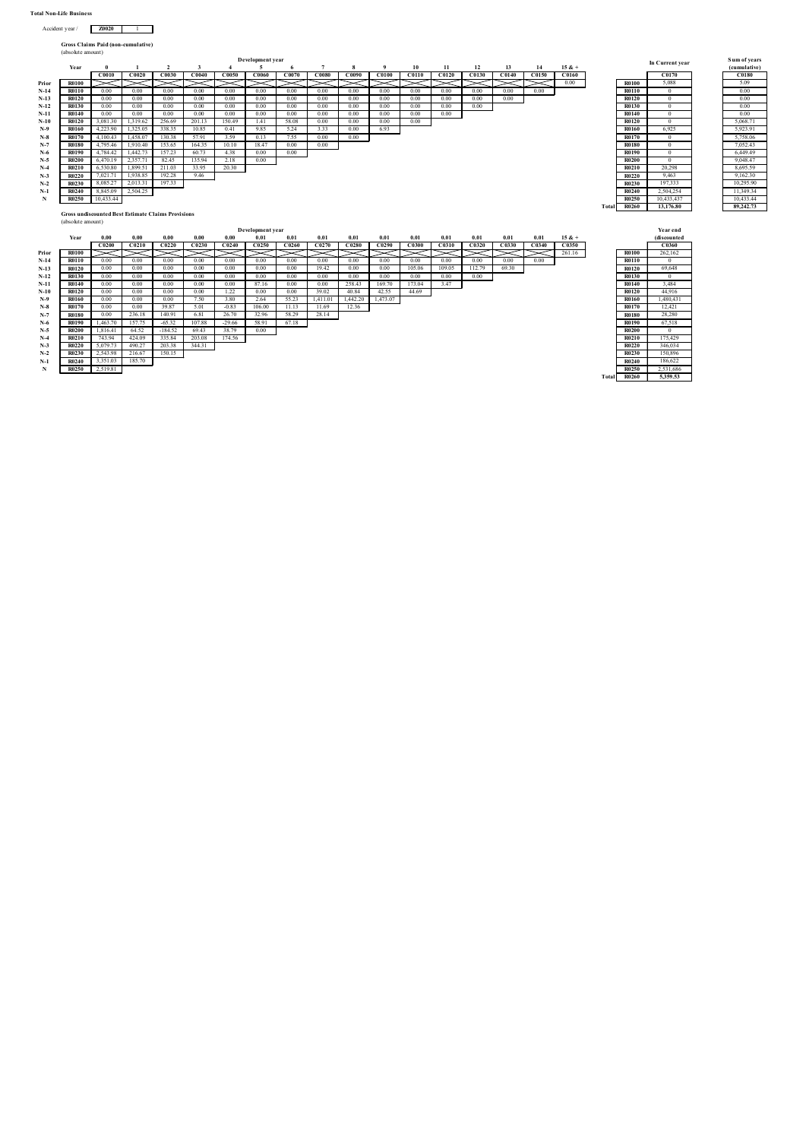| <b>Total Non-Life Business</b> |  |  |
|--------------------------------|--|--|

### $\text{Accident year}$  /  $\text{Z0020}$  1 Gross Claims Paid (non-cumulative)

| tal Non-Life Business                                                                                                                                   |                                                                                                                                                                                                                                                                                                                                                                                                                                                                                                                                                                                                                                                                                                                                                                                                                                                                                                                                                                                                                                                                                                                                                                                                                                                                                                                                                                                                                                                                                                                                                                                                                                                                                                                                                                                              |                                                                                                                                                                                                                                                                                                                                                                                                                                                                                                                  |                                                                                                                                                                                                                          |
|---------------------------------------------------------------------------------------------------------------------------------------------------------|----------------------------------------------------------------------------------------------------------------------------------------------------------------------------------------------------------------------------------------------------------------------------------------------------------------------------------------------------------------------------------------------------------------------------------------------------------------------------------------------------------------------------------------------------------------------------------------------------------------------------------------------------------------------------------------------------------------------------------------------------------------------------------------------------------------------------------------------------------------------------------------------------------------------------------------------------------------------------------------------------------------------------------------------------------------------------------------------------------------------------------------------------------------------------------------------------------------------------------------------------------------------------------------------------------------------------------------------------------------------------------------------------------------------------------------------------------------------------------------------------------------------------------------------------------------------------------------------------------------------------------------------------------------------------------------------------------------------------------------------------------------------------------------------|------------------------------------------------------------------------------------------------------------------------------------------------------------------------------------------------------------------------------------------------------------------------------------------------------------------------------------------------------------------------------------------------------------------------------------------------------------------------------------------------------------------|--------------------------------------------------------------------------------------------------------------------------------------------------------------------------------------------------------------------------|
|                                                                                                                                                         | Accident year / Z0020<br>$\sim$ 1                                                                                                                                                                                                                                                                                                                                                                                                                                                                                                                                                                                                                                                                                                                                                                                                                                                                                                                                                                                                                                                                                                                                                                                                                                                                                                                                                                                                                                                                                                                                                                                                                                                                                                                                                            |                                                                                                                                                                                                                                                                                                                                                                                                                                                                                                                  |                                                                                                                                                                                                                          |
|                                                                                                                                                         | Gross Claims Paid (non-cumulative)<br>(absolute amount)<br>Development year                                                                                                                                                                                                                                                                                                                                                                                                                                                                                                                                                                                                                                                                                                                                                                                                                                                                                                                                                                                                                                                                                                                                                                                                                                                                                                                                                                                                                                                                                                                                                                                                                                                                                                                  | In Current year                                                                                                                                                                                                                                                                                                                                                                                                                                                                                                  | Sum of years                                                                                                                                                                                                             |
| Prior<br>$N-14$<br>$N-13$<br>$N-12$<br>$N-11$<br>$N-10$<br>$N-9$<br>$_{\mathbf{N-8}}$<br>$N-7$<br>N-6<br>$N-5$<br>$N-4$<br>$N-3$<br>$N-2$<br>$N-1$<br>N | $\overline{2}$<br>5<br>$7^{\circ}$<br>$\mathbf{Q}$<br>10<br>11<br>12<br>13<br>Year<br>$\overline{0}$<br>$\overline{1}$<br>$\overline{3}$<br>$\overline{4}$<br>$\mathbf{8}$<br>14<br>$15 & +$<br>C0010 C0020 C0030 C0040 C0050 C0060 C0070 C0080 C0090 C0100 C0110 C0120<br>C0130<br>C0140 C0150 C0160<br>R0100<br>$\asymp$<br>⋝⊴<br>$\approx$ r $\approx$ r $\approx$<br>$\gg \approx$<br>$\gg\gg\gg\gg$<br>$\gg$<br>0.00<br>$>\!<$<br><b>R0110</b><br>0.00<br>0.00<br>0.00<br>0.00<br>0.00<br>0.00<br>0.00<br>0.00<br>0.00<br>0.00<br>0.00<br>0.00<br>0.00<br>0.00<br>0.00<br><b>R0120</b><br>0.00<br>0.00<br>0.00<br>0.00<br>0.00<br>0.00<br>0.00<br>0.00<br>0.00<br>0.00<br>0.00<br>0.00<br>0.00<br>0.00<br>0.00<br><b>R0130</b><br>0.00<br>0.00<br>0.00<br>0.00<br>0.00<br>0.00<br>0.00<br>0.00<br>0.00<br>0.00<br>0.00<br>0.00<br>0.00<br>0.00<br>0.00<br>0.00<br>0.00<br>0.00<br>0.00<br>0.00<br>0.00<br>0.00<br>0.00<br>0.00<br><b>R0140</b><br>0.00<br>3,081.30<br>1,319.62<br>256.69<br>201.13<br>150.49<br>1.41<br>58.08<br>0.00<br>0.00<br>0.00<br><b>R0120</b><br>4,223.90<br>1,325.05<br>338.35<br>10.85<br>9.85<br>5.24<br>3.33<br>0.00<br>6.93<br><b>R0160</b><br>0.41<br><b>R0170</b><br>4,100.43<br>1,458.07<br>130.38<br>57.91<br>3.59<br>0.13<br>7.55<br>0.00<br>0.00<br>4,795.46<br>164.35<br>10.10<br>0.00<br><b>R0180</b><br>1,910.40<br>153.65<br>18.47<br>0.00<br>1,442.73<br>157.23<br>60.73<br>4,784.42<br>4.38<br>0.00<br>0.00<br><b>R0190</b><br><b>R0200</b><br>135.94<br>6.470.19 2.357.71<br>82.45<br>2.18<br>0.00<br><b>R0210</b><br>6,530.80<br>1,899.51<br>211.03<br>33.95<br>20.30<br><b>R0220</b><br>7,021.71<br>1,938.85<br>192.28<br>9.46<br><b>R0230</b><br>8,085.27<br>2,013.31<br>197.33<br><b>R0240</b><br>8,845.09<br>2,504.25<br>R0250 10,433.44 | C0170<br>R0100<br>5,088<br><b>R0110</b><br>$\mathbf{0}$<br><b>R0120</b><br>$\mathbf{0}$<br>R0130<br>$\theta$<br><b>R0140</b><br>$\mathbf{0}$<br><b>R0120</b><br>$\overline{0}$<br>6,925<br><b>R0160</b><br><b>R0170</b><br>$\mathbf{0}$<br><b>R0180</b><br>$\overline{0}$<br><b>R0190</b><br>$\overline{0}$<br><b>R0200</b><br>$\mathbf{0}$<br><b>R0210</b><br>20.298<br><b>R0220</b><br>9,463<br><b>R0230</b><br>197,333<br>2,504,254<br><b>R0240</b><br>10,433,437<br><b>R0250</b><br>13,176.80<br>Total R0260 | (cumulative)<br><b>C0180</b><br>5.09<br>0.00<br>0.00<br>0.00<br>0.00<br>5.068.71<br>5,923.91<br>5,758.06<br>7,052.43<br>6.449.49<br>9,048.47<br>8,695.59<br>9,162.30<br>10,295.90<br>11,349.34<br>10,433.44<br>89,242.73 |
|                                                                                                                                                         | <b>Gross undiscounted Best Estimate Claims Provisions</b><br>(absolute amount)                                                                                                                                                                                                                                                                                                                                                                                                                                                                                                                                                                                                                                                                                                                                                                                                                                                                                                                                                                                                                                                                                                                                                                                                                                                                                                                                                                                                                                                                                                                                                                                                                                                                                                               |                                                                                                                                                                                                                                                                                                                                                                                                                                                                                                                  |                                                                                                                                                                                                                          |
| Prior<br>$N-14$<br>$N-13$<br>$N-12$<br>$N-11$<br>$N-10$<br>$N-9$<br>$N-8$<br>$N-7$<br>N-6<br>$N-5$<br>$N-4$<br>$N-3$<br>$N-2$<br>$N-1$<br>N             | Development year<br>0.00<br>0.01<br>0.01<br>0.01<br>0.01<br>0.00<br>0.00<br>0.00<br>0.01<br>0.01<br>0.01<br>0.01<br>0.01<br>$15 & +$<br>Year<br>0.00<br>0.01<br>C0300<br>C0330 C0340<br>C0350<br>$C0200$ $C0210$<br>C0220<br>$C0230$ $C0240$ $C0250$ $C0260$ $C0270$<br>C0280 C0290<br>C0310<br>C0320<br><b>R0100</b><br>$\asymp$<br>$>\!<$<br>$>\!<$<br>$\times$<br>X<br>261.16<br>$\prec$<br>$>\!<$<br>$\asymp$<br>$\asymp$<br>⋝⊲<br>$>\!<$<br>⋝⋜∣<br>⋝⋜⊺<br>$>\!<$<br>$\asymp$<br><b>R0110</b><br>0.00<br>0.00<br>$0.00\,$<br>0.00<br>$0.00\,$<br>0.00<br>0.00<br>0.00<br>0.00<br>0.00<br>0.00<br>0.00<br>$0.00\,$<br>0.00<br>0.00<br>69.30<br><b>R0120</b><br>0.00<br>0.00<br>0.00<br>0.00<br>0.00<br>0.00<br>0.00<br>19.42<br>0.00<br>0.00<br>105.06<br>109.05<br>112.79<br>0.00<br>0.00<br>0.00<br>0.00<br>0.00<br>0.00<br>0.00<br>0.00<br>0.00<br><b>R0130</b><br>0.00<br>0.00<br>0.00<br>0.00<br>258.43<br>3.47<br>0.00<br>0.00<br>0.00<br>0.00<br>0.00<br>87.16<br>0.00<br>0.00<br>169.70<br>173.04<br><b>R0140</b><br><b>R0120</b><br>0.00<br>0.00<br>0.00<br>0.00<br>1.22<br>0.00<br>0.00<br>39.02<br>40.84<br>42.55<br>44.69<br><b>R0160</b><br>0.00<br>0.00<br>0.00<br>7.50<br>3.80<br>2.64<br>55.23<br>1,411.01<br>1,442.20<br>1,473.07<br>$-0.83$<br><b>R0170</b><br>0.00<br>0.00<br>39.87<br>5.01<br>12.36<br>106.00<br>11.13<br>11.69<br>236.18<br>140.91<br>6.81<br>26.70<br>32.96<br>58.29<br>28.14<br><b>R0180</b><br>0.00<br>R0220 5,079.73 490.27<br>344.31<br>203.38<br>R0230 2,543.98 216.67 150.15<br>R0240 3,351.03 185.70<br>R0250 2,519.81                                                                                                                                                                                                                       | <b>Year end</b><br>(discounted<br>C0360<br><b>R0100</b><br>262,162<br><b>R0110</b><br>$\overline{0}$<br><b>R0120</b><br>69.648<br><b>R0130</b><br>$\overline{0}$<br>3,484<br><b>R0140</b><br><b>R0120</b><br>44,916<br><b>R0160</b><br>1,480,431<br>R0170<br>12,421<br>28,280<br><b>R0180</b><br>R0190<br>67,518<br><b>R0200</b><br>$\sim$ 0<br>R0210<br>175,429<br><b>R0220</b><br>346,034<br>150,896<br><b>R0230</b><br>186,622<br>R0240<br>R0250<br>2,531,686<br>Total R0260 5,359.53                         |                                                                                                                                                                                                                          |
|                                                                                                                                                         |                                                                                                                                                                                                                                                                                                                                                                                                                                                                                                                                                                                                                                                                                                                                                                                                                                                                                                                                                                                                                                                                                                                                                                                                                                                                                                                                                                                                                                                                                                                                                                                                                                                                                                                                                                                              |                                                                                                                                                                                                                                                                                                                                                                                                                                                                                                                  |                                                                                                                                                                                                                          |
|                                                                                                                                                         |                                                                                                                                                                                                                                                                                                                                                                                                                                                                                                                                                                                                                                                                                                                                                                                                                                                                                                                                                                                                                                                                                                                                                                                                                                                                                                                                                                                                                                                                                                                                                                                                                                                                                                                                                                                              |                                                                                                                                                                                                                                                                                                                                                                                                                                                                                                                  |                                                                                                                                                                                                                          |



| Sum of years |
|--------------|
| (cumulative) |
| <b>C0180</b> |
| 5.09         |
| 0.00         |
| 0.00         |
| 0.00         |
| 0.00         |
| 5,068.71     |
| 5,923.91     |
| 5.758.06     |
| 7.052.43     |
| 6,449.49     |
| 9.048.47     |
| 8,695.59     |
| 9.162.30     |
| 10,295.90    |
| 11.349.34    |
| 10,433.44    |
| 89,242.73    |

|                | Year end    |
|----------------|-------------|
|                | (discounted |
|                | C0360       |
| <b>R0100</b>   | 262.162     |
| R0110          | $\theta$    |
| R0120          | 69,648      |
| R0130          | $\theta$    |
| R0140          | 3.484       |
| R0120          | 44.916      |
| R0160          | 1.480.431   |
| R0170          | 12.421      |
| <b>R0180</b>   | 28.280      |
| <b>R0190</b>   | 67.518      |
| <b>R0200</b>   | 0           |
| R0210          | 175.429     |
| R0220          | 346.034     |
| R0230          | 150,896     |
| R0240          | 186.622     |
| <b>R0250</b>   | 2.531.686   |
| <b>FLOR CO</b> | 20.50       |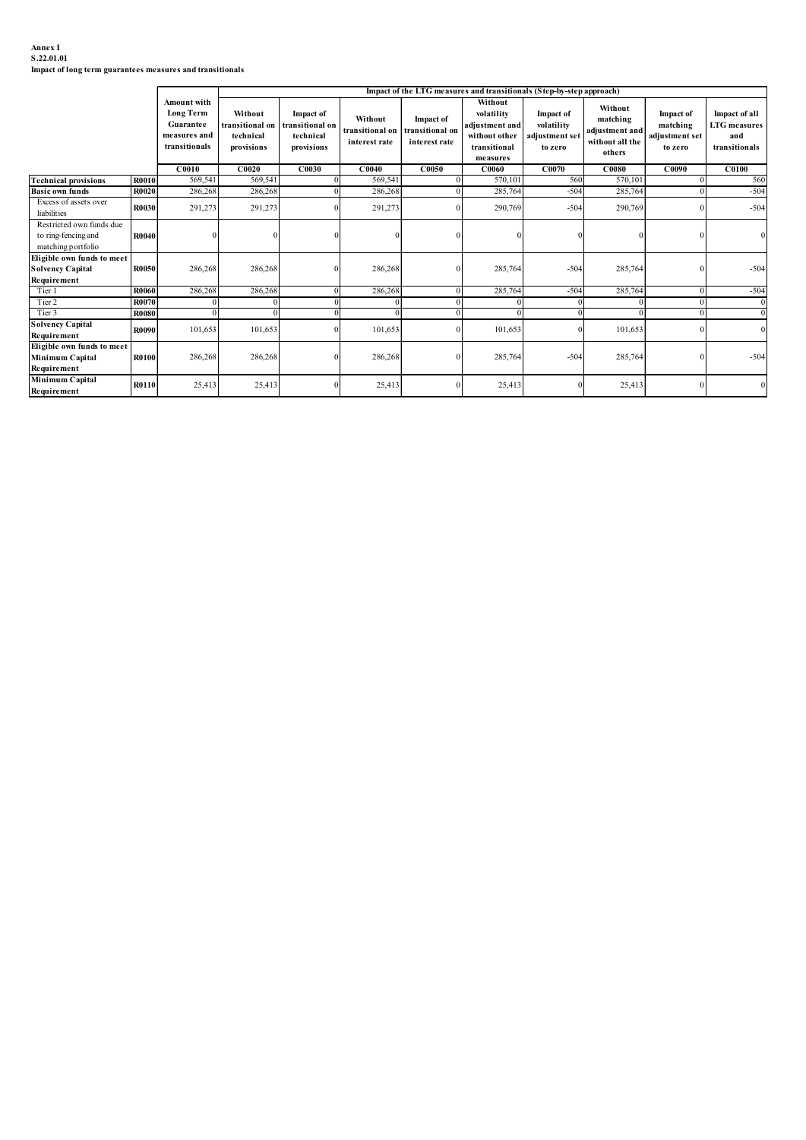## Annex I S.22.01.01

| Annex I                                                   |                       |                           |                             |                              |                 |                                     |                                                                                 |                              |                            |                            |                            |
|-----------------------------------------------------------|-----------------------|---------------------------|-----------------------------|------------------------------|-----------------|-------------------------------------|---------------------------------------------------------------------------------|------------------------------|----------------------------|----------------------------|----------------------------|
| S.22.01.01                                                |                       |                           |                             |                              |                 |                                     |                                                                                 |                              |                            |                            |                            |
| Impact of long term guarantees measures and transitionals |                       |                           |                             |                              |                 |                                     |                                                                                 |                              |                            |                            |                            |
|                                                           |                       | Amount with               |                             |                              |                 |                                     | Impact of the LTG measures and transitionals (Step-by-step approach)<br>Without |                              |                            |                            |                            |
|                                                           |                       | Long Term                 | Without                     | <b>Impact of</b>             | Without         |                                     | volatility                                                                      | Impact of                    | Without                    | Impact of                  | Impact of all              |
|                                                           |                       | Guarantee<br>measures and | ransitional on<br>technical | transitional oı<br>technical | transitional on | <b>Impact of</b><br>transitional on | adjustment and<br>without other                                                 | volatility<br>adjustment set | matching<br>adjustment and | matching<br>adjustment set | <b>LTG</b> measures<br>and |
|                                                           |                       | transitionals             | provisions                  | provisions                   | interest rate   | interest rate                       | transitional                                                                    | to zero                      | without all the<br>others  | to zero                    | transitionals              |
|                                                           |                       | C0010                     | C0020                       | C0030                        | C0040           | C0050                               | measures<br><b>C0060</b>                                                        | C0070                        | $\bf C0080$                | C0090                      | C0100                      |
| <b>Technical provisions</b>                               | R0010                 | 569,541                   | 569,541                     |                              | 569,541         |                                     | 570,101                                                                         | 560                          | 570,101                    |                            | 560                        |
| <b>Basic own funds</b><br>Excess of assets over           | R0020                 | 286,268                   | 286,268                     |                              | 286,268         | $\Omega$                            | 285,764                                                                         | $-504$                       | 285,764                    |                            | $-504$                     |
| liabilities                                               | R0030                 | 291,273                   | 291,273                     |                              | 291,273         |                                     | 290,769                                                                         | $-504$                       | 290,769                    |                            | $-504$                     |
| Restricted own funds due<br>to ring-fencing and           | R0040                 |                           |                             | $\Omega$                     |                 |                                     |                                                                                 |                              |                            |                            |                            |
| matching portfolio                                        |                       |                           |                             |                              |                 |                                     |                                                                                 |                              |                            |                            |                            |
| Eligible own funds to meet<br><b>Solvency Capital</b>     | R0050                 | 286,268                   | 286,268                     |                              | 286,268         |                                     | 285,764                                                                         | $-504$                       | 285,764                    |                            | $-504$                     |
| Requirement                                               |                       |                           |                             |                              |                 |                                     |                                                                                 |                              |                            |                            |                            |
| Tier 1<br>Tier 2                                          | <b>R0060</b><br>R0070 | 286,268                   | 286,268                     |                              | 286,268         | 0                                   | 285,764                                                                         | $-504$                       | 285,764                    |                            | $-504$                     |
| Tier 3                                                    | <b>R0080</b>          |                           |                             |                              |                 |                                     |                                                                                 |                              |                            |                            |                            |
| <b>Solvency Capital</b><br>Requirement                    | R0090                 | 101,653                   | 101,653                     |                              | 101,653         |                                     | 101,653                                                                         |                              | 101,653                    |                            |                            |
| Eligible own funds to meet<br>Minimum Capital             | R0100                 | 286,268                   | 286,268                     |                              | 286,268         |                                     | 285,764                                                                         | $-504$                       | 285,764                    |                            | $-504$                     |
| Requirement                                               |                       |                           |                             |                              |                 |                                     |                                                                                 |                              |                            |                            |                            |
|                                                           | R0110                 | 25,413                    | 25,413                      |                              | 25,41           |                                     | 25,413                                                                          |                              | 25,413                     |                            |                            |
| Minimum Capital<br>Requirement                            |                       |                           |                             |                              |                 |                                     |                                                                                 |                              |                            |                            |                            |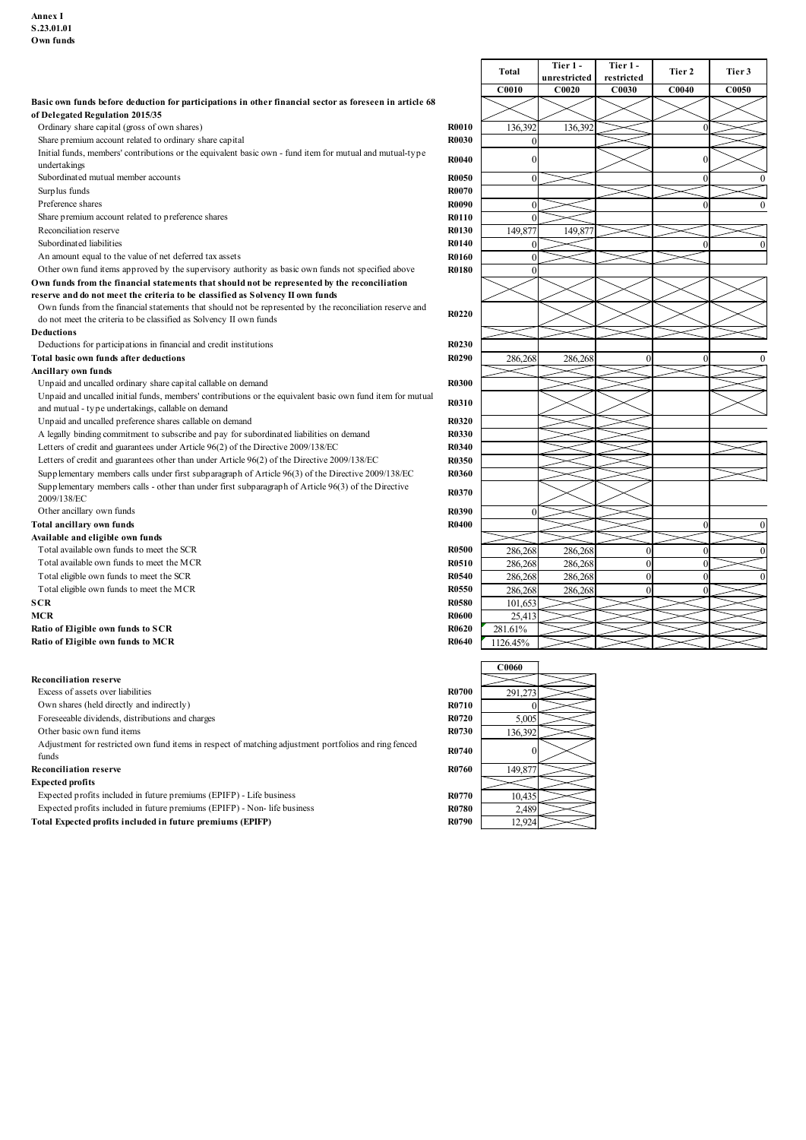| Basic own funds before deduction for participations in other financial sector as foreseen in article 68<br>of Delegated Regulation 2015/35<br>Ordinary share capital (gross of own shares)<br>Share premium account related to ordinary share capital<br>Initial funds, members' contributions or the equivalent basic own - fund item for mutual and mutual-type<br>undertakings<br>Subordinated mutual member accounts<br>Surplus funds<br>Preference shares<br>Share premium account related to preference shares<br>Reconciliation reserve<br>Subordinated liabilities<br>An amount equal to the value of net deferred tax assets<br>Other own fund items approved by the supervisory authority as basic own funds not specified above<br>Own funds from the financial statements that should not be represented by the reconciliation | <b>R0010</b><br><b>R0030</b><br><b>R0040</b><br><b>R0050</b><br><b>R0070</b><br><b>R0090</b><br><b>R0110</b><br><b>R0130</b><br><b>R0140</b><br><b>R0160</b> | <b>C0010</b><br>136,392 | C0020<br>136,392   | C0030 | C <sub>0040</sub> | <b>C0050</b> |
|--------------------------------------------------------------------------------------------------------------------------------------------------------------------------------------------------------------------------------------------------------------------------------------------------------------------------------------------------------------------------------------------------------------------------------------------------------------------------------------------------------------------------------------------------------------------------------------------------------------------------------------------------------------------------------------------------------------------------------------------------------------------------------------------------------------------------------------------|--------------------------------------------------------------------------------------------------------------------------------------------------------------|-------------------------|--------------------|-------|-------------------|--------------|
|                                                                                                                                                                                                                                                                                                                                                                                                                                                                                                                                                                                                                                                                                                                                                                                                                                            |                                                                                                                                                              |                         |                    |       |                   |              |
|                                                                                                                                                                                                                                                                                                                                                                                                                                                                                                                                                                                                                                                                                                                                                                                                                                            |                                                                                                                                                              |                         |                    |       |                   |              |
|                                                                                                                                                                                                                                                                                                                                                                                                                                                                                                                                                                                                                                                                                                                                                                                                                                            |                                                                                                                                                              |                         |                    |       |                   |              |
|                                                                                                                                                                                                                                                                                                                                                                                                                                                                                                                                                                                                                                                                                                                                                                                                                                            |                                                                                                                                                              |                         |                    |       |                   |              |
|                                                                                                                                                                                                                                                                                                                                                                                                                                                                                                                                                                                                                                                                                                                                                                                                                                            |                                                                                                                                                              |                         |                    |       |                   |              |
|                                                                                                                                                                                                                                                                                                                                                                                                                                                                                                                                                                                                                                                                                                                                                                                                                                            |                                                                                                                                                              |                         |                    |       |                   |              |
|                                                                                                                                                                                                                                                                                                                                                                                                                                                                                                                                                                                                                                                                                                                                                                                                                                            |                                                                                                                                                              |                         |                    |       |                   |              |
|                                                                                                                                                                                                                                                                                                                                                                                                                                                                                                                                                                                                                                                                                                                                                                                                                                            |                                                                                                                                                              |                         |                    |       |                   |              |
|                                                                                                                                                                                                                                                                                                                                                                                                                                                                                                                                                                                                                                                                                                                                                                                                                                            |                                                                                                                                                              |                         |                    |       |                   |              |
|                                                                                                                                                                                                                                                                                                                                                                                                                                                                                                                                                                                                                                                                                                                                                                                                                                            |                                                                                                                                                              | 149,877                 | 149,87             |       |                   |              |
|                                                                                                                                                                                                                                                                                                                                                                                                                                                                                                                                                                                                                                                                                                                                                                                                                                            |                                                                                                                                                              | $\Omega$                | ∩                  |       |                   |              |
|                                                                                                                                                                                                                                                                                                                                                                                                                                                                                                                                                                                                                                                                                                                                                                                                                                            | <b>R0180</b>                                                                                                                                                 |                         |                    |       |                   |              |
|                                                                                                                                                                                                                                                                                                                                                                                                                                                                                                                                                                                                                                                                                                                                                                                                                                            |                                                                                                                                                              |                         |                    |       |                   |              |
| reserve and do not meet the criteria to be classified as Solvency II own funds                                                                                                                                                                                                                                                                                                                                                                                                                                                                                                                                                                                                                                                                                                                                                             |                                                                                                                                                              |                         |                    |       |                   |              |
| Own funds from the financial statements that should not be represented by the reconciliation reserve and                                                                                                                                                                                                                                                                                                                                                                                                                                                                                                                                                                                                                                                                                                                                   | <b>R0220</b>                                                                                                                                                 |                         |                    |       |                   |              |
| do not meet the criteria to be classified as Solvency II own funds<br><b>Deductions</b>                                                                                                                                                                                                                                                                                                                                                                                                                                                                                                                                                                                                                                                                                                                                                    |                                                                                                                                                              |                         |                    |       |                   |              |
| Deductions for participations in financial and credit institutions                                                                                                                                                                                                                                                                                                                                                                                                                                                                                                                                                                                                                                                                                                                                                                         | <b>R0230</b>                                                                                                                                                 |                         |                    |       |                   |              |
| Total basic own funds after deductions                                                                                                                                                                                                                                                                                                                                                                                                                                                                                                                                                                                                                                                                                                                                                                                                     | <b>R0290</b>                                                                                                                                                 | 286,268                 | 286,268            |       |                   |              |
| Ancillary own funds                                                                                                                                                                                                                                                                                                                                                                                                                                                                                                                                                                                                                                                                                                                                                                                                                        |                                                                                                                                                              |                         |                    |       |                   |              |
| Unpaid and uncalled ordinary share capital callable on demand<br>Unpaid and uncalled initial funds, members' contributions or the equivalent basic own fund item for mutual                                                                                                                                                                                                                                                                                                                                                                                                                                                                                                                                                                                                                                                                | R0300                                                                                                                                                        |                         |                    |       |                   |              |
| and mutual - type undertakings, callable on demand                                                                                                                                                                                                                                                                                                                                                                                                                                                                                                                                                                                                                                                                                                                                                                                         | <b>R0310</b>                                                                                                                                                 |                         |                    |       |                   |              |
| Unpaid and uncalled preference shares callable on demand                                                                                                                                                                                                                                                                                                                                                                                                                                                                                                                                                                                                                                                                                                                                                                                   | <b>R0320</b>                                                                                                                                                 |                         |                    |       |                   |              |
| A legally binding commitment to subscribe and pay for subordinated liabilities on demand                                                                                                                                                                                                                                                                                                                                                                                                                                                                                                                                                                                                                                                                                                                                                   | R0330                                                                                                                                                        |                         |                    |       |                   |              |
| Letters of credit and guarantees under Article 96(2) of the Directive 2009/138/EC                                                                                                                                                                                                                                                                                                                                                                                                                                                                                                                                                                                                                                                                                                                                                          | <b>R0340</b>                                                                                                                                                 |                         |                    |       |                   |              |
| Letters of credit and guarantees other than under Article 96(2) of the Directive 2009/138/EC                                                                                                                                                                                                                                                                                                                                                                                                                                                                                                                                                                                                                                                                                                                                               | R0350                                                                                                                                                        |                         |                    |       |                   |              |
| Supplementary members calls under first subparagraph of Article 96(3) of the Directive 2009/138/EC<br>Supplementary members calls - other than under first subparagraph of Article 96(3) of the Directive                                                                                                                                                                                                                                                                                                                                                                                                                                                                                                                                                                                                                                  | <b>R0360</b>                                                                                                                                                 |                         |                    |       |                   |              |
| 2009/138/EC                                                                                                                                                                                                                                                                                                                                                                                                                                                                                                                                                                                                                                                                                                                                                                                                                                | R0370                                                                                                                                                        |                         |                    |       |                   |              |
| Other ancillary own funds                                                                                                                                                                                                                                                                                                                                                                                                                                                                                                                                                                                                                                                                                                                                                                                                                  | <b>R0390</b>                                                                                                                                                 |                         |                    |       |                   |              |
| Total ancillary own funds                                                                                                                                                                                                                                                                                                                                                                                                                                                                                                                                                                                                                                                                                                                                                                                                                  | <b>R0400</b>                                                                                                                                                 |                         |                    |       |                   |              |
| Available and eligible own funds                                                                                                                                                                                                                                                                                                                                                                                                                                                                                                                                                                                                                                                                                                                                                                                                           |                                                                                                                                                              |                         |                    |       |                   |              |
| Total available own funds to meet the SCR<br>Total available own funds to meet the MCR                                                                                                                                                                                                                                                                                                                                                                                                                                                                                                                                                                                                                                                                                                                                                     | <b>R0500</b><br><b>R0510</b>                                                                                                                                 | 286,268<br>286,268      | 286,268<br>286,268 |       |                   |              |
| Total eligible own funds to meet the SCR                                                                                                                                                                                                                                                                                                                                                                                                                                                                                                                                                                                                                                                                                                                                                                                                   | <b>R0540</b>                                                                                                                                                 | 286,268                 | 286,268            |       |                   |              |
| Total eligible own funds to meet the MCR                                                                                                                                                                                                                                                                                                                                                                                                                                                                                                                                                                                                                                                                                                                                                                                                   | <b>R0550</b>                                                                                                                                                 | 286,268                 | 286,268            |       |                   |              |
| <b>SCR</b>                                                                                                                                                                                                                                                                                                                                                                                                                                                                                                                                                                                                                                                                                                                                                                                                                                 | <b>R0580</b>                                                                                                                                                 | 101,653                 |                    |       |                   |              |
| <b>MCR</b>                                                                                                                                                                                                                                                                                                                                                                                                                                                                                                                                                                                                                                                                                                                                                                                                                                 | <b>R0600</b>                                                                                                                                                 | 25,413                  |                    |       |                   |              |
| Ratio of Eligible own funds to SCR                                                                                                                                                                                                                                                                                                                                                                                                                                                                                                                                                                                                                                                                                                                                                                                                         | <b>R0620</b>                                                                                                                                                 | 281.61%                 |                    |       |                   |              |
| Ratio of Eligible own funds to MCR                                                                                                                                                                                                                                                                                                                                                                                                                                                                                                                                                                                                                                                                                                                                                                                                         | <b>R0640</b>                                                                                                                                                 | 1126.45%                |                    |       |                   |              |
|                                                                                                                                                                                                                                                                                                                                                                                                                                                                                                                                                                                                                                                                                                                                                                                                                                            |                                                                                                                                                              | C0060                   |                    |       |                   |              |
| <b>Reconciliation reserve</b>                                                                                                                                                                                                                                                                                                                                                                                                                                                                                                                                                                                                                                                                                                                                                                                                              |                                                                                                                                                              |                         |                    |       |                   |              |
| Excess of assets over liabilities                                                                                                                                                                                                                                                                                                                                                                                                                                                                                                                                                                                                                                                                                                                                                                                                          | <b>R0700</b>                                                                                                                                                 | 291,273                 |                    |       |                   |              |
| Own shares (held directly and indirectly)                                                                                                                                                                                                                                                                                                                                                                                                                                                                                                                                                                                                                                                                                                                                                                                                  | <b>R0710</b>                                                                                                                                                 |                         |                    |       |                   |              |
| Foreseeable dividends, distributions and charges<br>Other basic own fund items                                                                                                                                                                                                                                                                                                                                                                                                                                                                                                                                                                                                                                                                                                                                                             | <b>R0720</b><br><b>R0730</b>                                                                                                                                 | 5,005                   |                    |       |                   |              |
| Adjustment for restricted own fund items in respect of matching adjustment portfolios and ring fenced                                                                                                                                                                                                                                                                                                                                                                                                                                                                                                                                                                                                                                                                                                                                      |                                                                                                                                                              | 136,392                 |                    |       |                   |              |
| funds                                                                                                                                                                                                                                                                                                                                                                                                                                                                                                                                                                                                                                                                                                                                                                                                                                      | <b>R0740</b>                                                                                                                                                 |                         |                    |       |                   |              |
| <b>Reconciliation reserve</b>                                                                                                                                                                                                                                                                                                                                                                                                                                                                                                                                                                                                                                                                                                                                                                                                              | <b>R0760</b>                                                                                                                                                 | 149,877                 |                    |       |                   |              |
| <b>Expected profits</b>                                                                                                                                                                                                                                                                                                                                                                                                                                                                                                                                                                                                                                                                                                                                                                                                                    |                                                                                                                                                              |                         |                    |       |                   |              |
| Expected profits included in future premiums (EPIFP) - Life business                                                                                                                                                                                                                                                                                                                                                                                                                                                                                                                                                                                                                                                                                                                                                                       | <b>R0770</b>                                                                                                                                                 | 10,435                  |                    |       |                   |              |
| Expected profits included in future premiums (EPIFP) - Non- life business<br>Total Expected profits included in future premiums (EPIFP)                                                                                                                                                                                                                                                                                                                                                                                                                                                                                                                                                                                                                                                                                                    | <b>R0780</b><br><b>R0790</b>                                                                                                                                 | 2,489<br>12,924         |                    |       |                   |              |
|                                                                                                                                                                                                                                                                                                                                                                                                                                                                                                                                                                                                                                                                                                                                                                                                                                            |                                                                                                                                                              |                         |                    |       |                   |              |

|                          | Total                                | Tier 1-<br>unrestricted | Tier 1-<br>restricted                | Tier 2                               | Tier 3           |
|--------------------------|--------------------------------------|-------------------------|--------------------------------------|--------------------------------------|------------------|
|                          | C0010                                | C0020                   | C0030                                | C0040                                | C0050            |
| 010                      |                                      |                         |                                      |                                      |                  |
| 030                      | 136,392<br>$\boldsymbol{0}$          | 136,392                 |                                      | $\overline{0}$                       |                  |
| 040                      | $\bf{0}$                             |                         |                                      | $\boldsymbol{0}$                     |                  |
| 050                      | $\overline{0}$                       |                         |                                      | $\overline{0}$                       | $\mathbf{0}$     |
| 070<br><b>090</b>        | $\boldsymbol{0}$                     |                         |                                      | $\overline{0}$                       | $\boldsymbol{0}$ |
| 110<br><b>130</b>        | $\boldsymbol{0}$<br>149,877          | 149,877                 |                                      |                                      |                  |
| 140                      | $\mathbf{0}$                         |                         |                                      | $\overline{0}$                       | $\boldsymbol{0}$ |
| 160<br>180               | $\boldsymbol{0}$<br>$\boldsymbol{0}$ |                         |                                      |                                      |                  |
|                          |                                      |                         |                                      |                                      |                  |
| <b>220</b>               |                                      |                         |                                      |                                      |                  |
|                          |                                      |                         |                                      |                                      |                  |
| <b>230</b><br><b>290</b> | 286,268                              | 286,268                 | $\boldsymbol{0}$                     | $\boldsymbol{0}$                     | $\mathbf{0}$     |
| 300                      |                                      |                         |                                      | $\checkmark$                         |                  |
|                          |                                      |                         |                                      |                                      |                  |
| 310<br>320               |                                      |                         |                                      |                                      |                  |
| 330                      |                                      |                         |                                      |                                      |                  |
| 340<br>350               |                                      |                         |                                      |                                      |                  |
| 360                      |                                      |                         |                                      |                                      |                  |
| 370                      |                                      |                         |                                      |                                      |                  |
| 390<br><b>100</b>        | $\boldsymbol{0}$                     |                         |                                      | $\boldsymbol{0}$                     | 0                |
| 500                      | 286,268                              | 286,268                 | $\boldsymbol{0}$                     | $\boldsymbol{0}$                     | $\mathbf{0}$     |
|                          | 286,268                              | 286,268                 | $\boldsymbol{0}$                     | $\boldsymbol{0}$                     |                  |
| 510                      | 286,268<br>286,268                   | 286,268<br>286,268      | $\boldsymbol{0}$<br>$\boldsymbol{0}$ | $\boldsymbol{0}$<br>$\boldsymbol{0}$ | $\boldsymbol{0}$ |
| <b>540</b><br>1550       |                                      |                         |                                      |                                      |                  |
| <b>580</b>               | 101,653                              |                         |                                      |                                      |                  |
| 000<br>620<br>640        | 25,413<br>281.61%<br>1126.45%        |                         |                                      |                                      |                  |

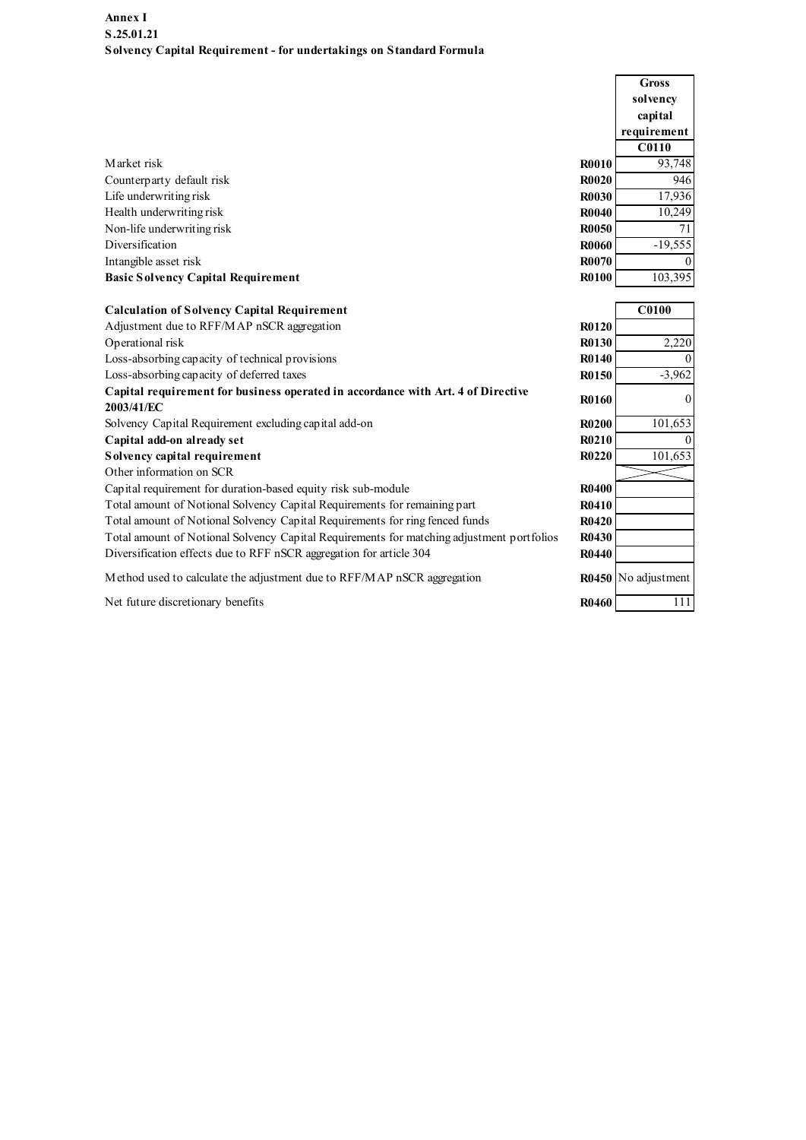| Annex I                                                                                        |              |                     |
|------------------------------------------------------------------------------------------------|--------------|---------------------|
| S.25.01.21                                                                                     |              |                     |
| <b>Solvency Capital Requirement - for undertakings on Standard Formula</b>                     |              |                     |
|                                                                                                |              | <b>Gross</b>        |
|                                                                                                |              | solvency            |
|                                                                                                |              | capital             |
|                                                                                                |              | requirement         |
|                                                                                                |              | C0110               |
| Market risk                                                                                    | <b>R0010</b> | 93,748              |
| Counterparty default risk                                                                      | <b>R0020</b> | 946                 |
| Life underwriting risk                                                                         | <b>R0030</b> | 17,936              |
| Health underwriting risk                                                                       | <b>R0040</b> | 10,249              |
| Non-life underwriting risk                                                                     | <b>R0050</b> | 71                  |
| Diversification                                                                                | <b>R0060</b> | $-19,555$           |
| Intangible asset risk                                                                          | <b>R0070</b> |                     |
| <b>Basic Solvency Capital Requirement</b>                                                      | <b>R0100</b> | 103,395             |
| <b>Calculation of Solvency Capital Requirement</b>                                             |              | C <sub>0100</sub>   |
| Adjustment due to RFF/MAP nSCR aggregation                                                     | <b>R0120</b> |                     |
| Operational risk                                                                               | <b>R0130</b> | 2,220               |
| Loss-absorbing capacity of technical provisions                                                | R0140        |                     |
| Loss-absorbing capacity of deferred taxes                                                      | <b>R0150</b> | $-3,962$            |
| Capital requirement for business operated in accordance with Art. 4 of Directive<br>2003/41/EC | <b>R0160</b> | 0                   |
| Solvency Capital Requirement excluding capital add-on                                          | <b>R0200</b> | 101,653             |
| Capital add-on already set                                                                     | R0210        |                     |
| Solvency capital requirement                                                                   | <b>R0220</b> | 101,653             |
| Other information on SCR                                                                       |              |                     |
| Capital requirement for duration-based equity risk sub-module                                  | <b>R0400</b> |                     |
| Total amount of Notional Solvency Capital Requirements for remaining part                      | R0410        |                     |
| Total amount of Notional Solvency Capital Requirements for ring fenced funds                   | R0420        |                     |
| Total amount of Notional Solvency Capital Requirements for matching adjustment portfolios      | R0430        |                     |
| Diversification effects due to RFF nSCR aggregation for article 304                            | <b>R0440</b> |                     |
| Method used to calculate the adjustment due to RFF/MAP nSCR aggregation                        |              | R0450 No adjustment |
|                                                                                                |              |                     |